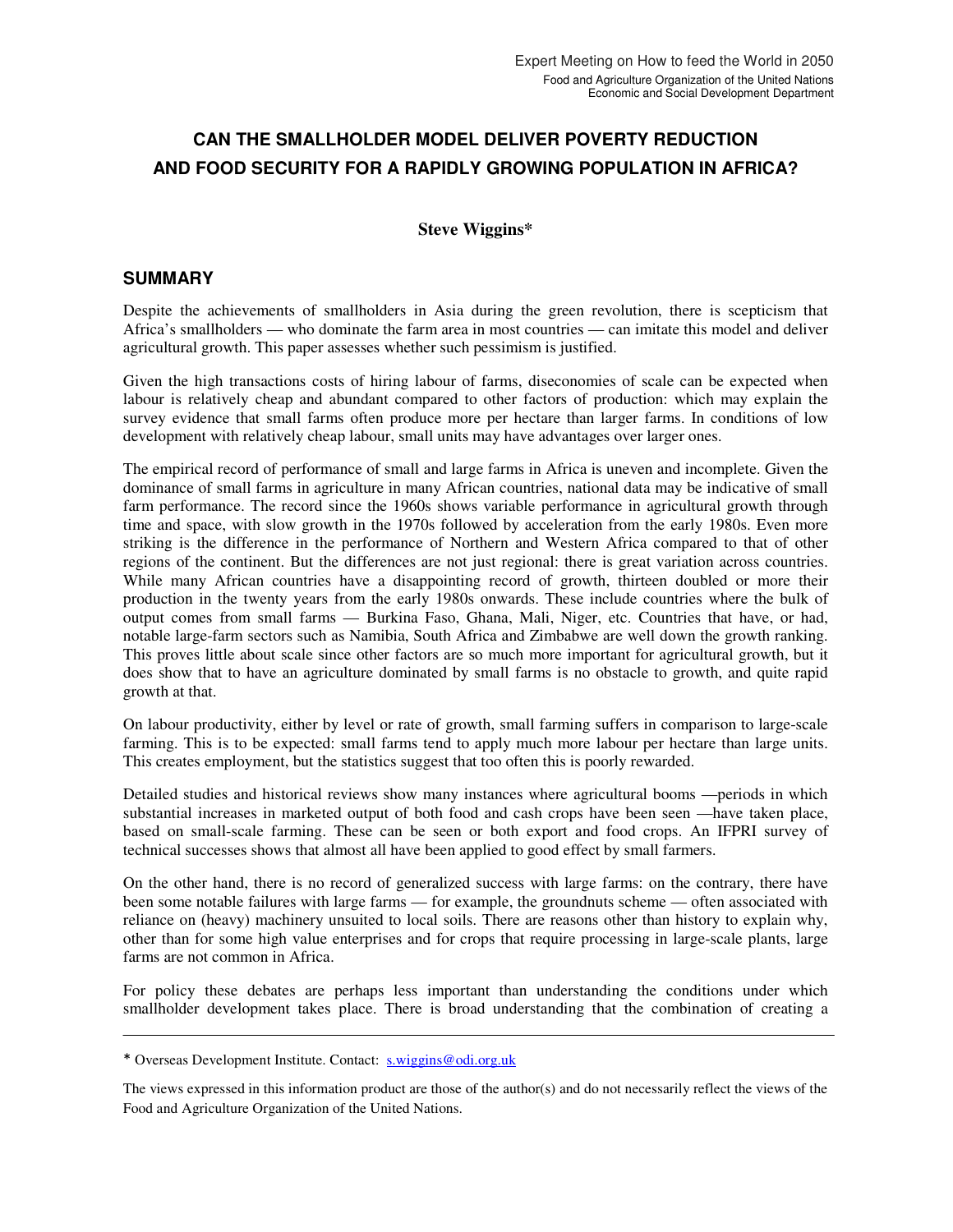# **CAN THE SMALLHOLDER MODEL DELIVER POVERTY REDUCTION AND FOOD SECURITY FOR A RAPIDLY GROWING POPULATION IN AFRICA?**

### **Steve Wiggins\***

### **SUMMARY**

Despite the achievements of smallholders in Asia during the green revolution, there is scepticism that Africa's smallholders — who dominate the farm area in most countries — can imitate this model and deliver agricultural growth. This paper assesses whether such pessimism is justified.

Given the high transactions costs of hiring labour of farms, diseconomies of scale can be expected when labour is relatively cheap and abundant compared to other factors of production: which may explain the survey evidence that small farms often produce more per hectare than larger farms. In conditions of low development with relatively cheap labour, small units may have advantages over larger ones.

The empirical record of performance of small and large farms in Africa is uneven and incomplete. Given the dominance of small farms in agriculture in many African countries, national data may be indicative of small farm performance. The record since the 1960s shows variable performance in agricultural growth through time and space, with slow growth in the 1970s followed by acceleration from the early 1980s. Even more striking is the difference in the performance of Northern and Western Africa compared to that of other regions of the continent. But the differences are not just regional: there is great variation across countries. While many African countries have a disappointing record of growth, thirteen doubled or more their production in the twenty years from the early 1980s onwards. These include countries where the bulk of output comes from small farms — Burkina Faso, Ghana, Mali, Niger, etc. Countries that have, or had, notable large-farm sectors such as Namibia, South Africa and Zimbabwe are well down the growth ranking. This proves little about scale since other factors are so much more important for agricultural growth, but it does show that to have an agriculture dominated by small farms is no obstacle to growth, and quite rapid growth at that.

On labour productivity, either by level or rate of growth, small farming suffers in comparison to large-scale farming. This is to be expected: small farms tend to apply much more labour per hectare than large units. This creates employment, but the statistics suggest that too often this is poorly rewarded.

Detailed studies and historical reviews show many instances where agricultural booms —periods in which substantial increases in marketed output of both food and cash crops have been seen —have taken place, based on small-scale farming. These can be seen or both export and food crops. An IFPRI survey of technical successes shows that almost all have been applied to good effect by small farmers.

On the other hand, there is no record of generalized success with large farms: on the contrary, there have been some notable failures with large farms — for example, the groundnuts scheme — often associated with reliance on (heavy) machinery unsuited to local soils. There are reasons other than history to explain why, other than for some high value enterprises and for crops that require processing in large-scale plants, large farms are not common in Africa.

For policy these debates are perhaps less important than understanding the conditions under which smallholder development takes place. There is broad understanding that the combination of creating a

<sup>\*</sup> Overseas Development Institute. Contact: s.wiggins@odi.org.uk

The views expressed in this information product are those of the author(s) and do not necessarily reflect the views of the Food and Agriculture Organization of the United Nations.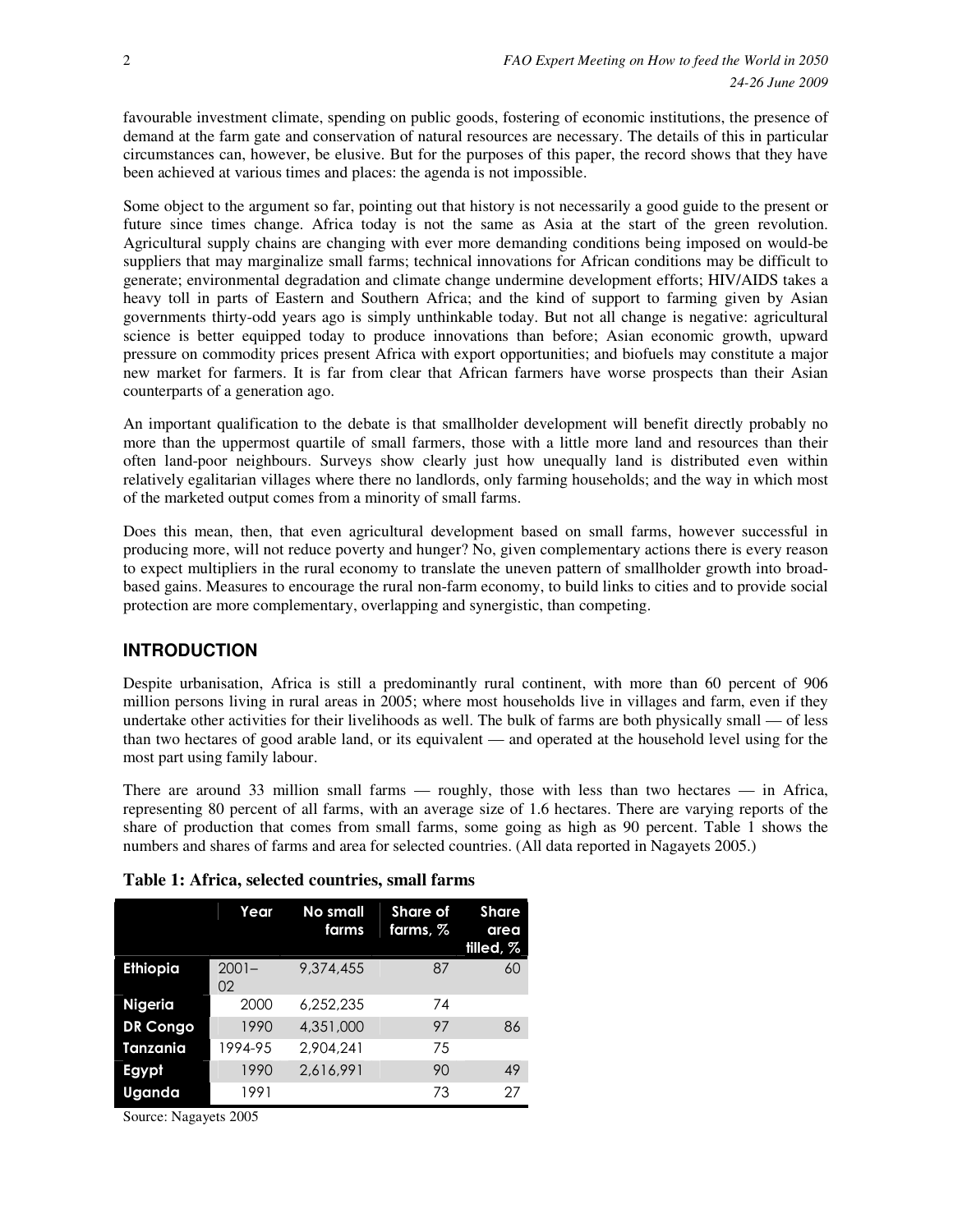favourable investment climate, spending on public goods, fostering of economic institutions, the presence of demand at the farm gate and conservation of natural resources are necessary. The details of this in particular circumstances can, however, be elusive. But for the purposes of this paper, the record shows that they have been achieved at various times and places: the agenda is not impossible.

Some object to the argument so far, pointing out that history is not necessarily a good guide to the present or future since times change. Africa today is not the same as Asia at the start of the green revolution. Agricultural supply chains are changing with ever more demanding conditions being imposed on would-be suppliers that may marginalize small farms; technical innovations for African conditions may be difficult to generate; environmental degradation and climate change undermine development efforts; HIV/AIDS takes a heavy toll in parts of Eastern and Southern Africa; and the kind of support to farming given by Asian governments thirty-odd years ago is simply unthinkable today. But not all change is negative: agricultural science is better equipped today to produce innovations than before; Asian economic growth, upward pressure on commodity prices present Africa with export opportunities; and biofuels may constitute a major new market for farmers. It is far from clear that African farmers have worse prospects than their Asian counterparts of a generation ago.

An important qualification to the debate is that smallholder development will benefit directly probably no more than the uppermost quartile of small farmers, those with a little more land and resources than their often land-poor neighbours. Surveys show clearly just how unequally land is distributed even within relatively egalitarian villages where there no landlords, only farming households; and the way in which most of the marketed output comes from a minority of small farms.

Does this mean, then, that even agricultural development based on small farms, however successful in producing more, will not reduce poverty and hunger? No, given complementary actions there is every reason to expect multipliers in the rural economy to translate the uneven pattern of smallholder growth into broadbased gains. Measures to encourage the rural non-farm economy, to build links to cities and to provide social protection are more complementary, overlapping and synergistic, than competing.

### **INTRODUCTION**

Despite urbanisation, Africa is still a predominantly rural continent, with more than 60 percent of 906 million persons living in rural areas in 2005; where most households live in villages and farm, even if they undertake other activities for their livelihoods as well. The bulk of farms are both physically small — of less than two hectares of good arable land, or its equivalent — and operated at the household level using for the most part using family labour.

There are around 33 million small farms — roughly, those with less than two hectares — in Africa, representing 80 percent of all farms, with an average size of 1.6 hectares. There are varying reports of the share of production that comes from small farms, some going as high as 90 percent. Table 1 shows the numbers and shares of farms and area for selected countries. (All data reported in Nagayets 2005.)

|                 | Year           | No small<br>farms | <b>Share of</b><br>farms, % | <b>Share</b><br>area<br>tilled, % |
|-----------------|----------------|-------------------|-----------------------------|-----------------------------------|
| <b>Ethiopia</b> | $2001 -$<br>02 | 9.374.455         | 87                          | 60                                |
| <b>Nigeria</b>  | 2000           | 6.252.235         | 74                          |                                   |
| <b>DR Congo</b> | 1990           | 4,351,000         | 97                          | 86                                |
| Tanzania        | 1994-95        | 2.904.241         | 75                          |                                   |
| Egypt           | 1990           | 2.616.991         | 90                          | 49                                |
| Uganda          | 1991           |                   | 73                          | 27                                |

|  |  |  | Table 1: Africa, selected countries, small farms |  |  |
|--|--|--|--------------------------------------------------|--|--|
|--|--|--|--------------------------------------------------|--|--|

Source: Nagayets 2005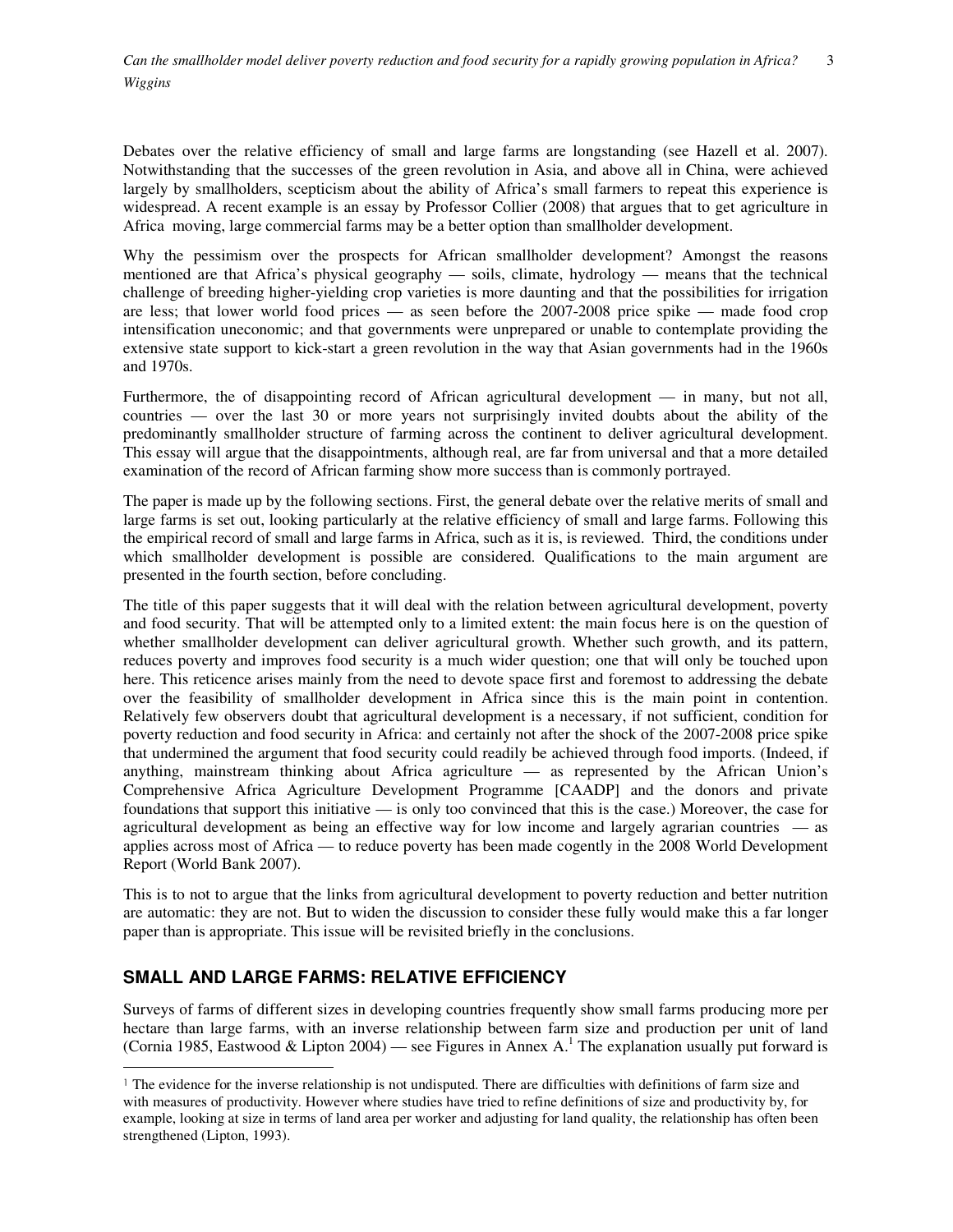Debates over the relative efficiency of small and large farms are longstanding (see Hazell et al. 2007). Notwithstanding that the successes of the green revolution in Asia, and above all in China, were achieved largely by smallholders, scepticism about the ability of Africa's small farmers to repeat this experience is widespread. A recent example is an essay by Professor Collier (2008) that argues that to get agriculture in Africa moving, large commercial farms may be a better option than smallholder development.

Why the pessimism over the prospects for African smallholder development? Amongst the reasons mentioned are that Africa's physical geography — soils, climate, hydrology — means that the technical challenge of breeding higher-yielding crop varieties is more daunting and that the possibilities for irrigation are less; that lower world food prices — as seen before the 2007-2008 price spike — made food crop intensification uneconomic; and that governments were unprepared or unable to contemplate providing the extensive state support to kick-start a green revolution in the way that Asian governments had in the 1960s and 1970s.

Furthermore, the of disappointing record of African agricultural development — in many, but not all, countries — over the last 30 or more years not surprisingly invited doubts about the ability of the predominantly smallholder structure of farming across the continent to deliver agricultural development. This essay will argue that the disappointments, although real, are far from universal and that a more detailed examination of the record of African farming show more success than is commonly portrayed.

The paper is made up by the following sections. First, the general debate over the relative merits of small and large farms is set out, looking particularly at the relative efficiency of small and large farms. Following this the empirical record of small and large farms in Africa, such as it is, is reviewed. Third, the conditions under which smallholder development is possible are considered. Qualifications to the main argument are presented in the fourth section, before concluding.

The title of this paper suggests that it will deal with the relation between agricultural development, poverty and food security. That will be attempted only to a limited extent: the main focus here is on the question of whether smallholder development can deliver agricultural growth. Whether such growth, and its pattern, reduces poverty and improves food security is a much wider question; one that will only be touched upon here. This reticence arises mainly from the need to devote space first and foremost to addressing the debate over the feasibility of smallholder development in Africa since this is the main point in contention. Relatively few observers doubt that agricultural development is a necessary, if not sufficient, condition for poverty reduction and food security in Africa: and certainly not after the shock of the 2007-2008 price spike that undermined the argument that food security could readily be achieved through food imports. (Indeed, if anything, mainstream thinking about Africa agriculture — as represented by the African Union's Comprehensive Africa Agriculture Development Programme [CAADP] and the donors and private foundations that support this initiative — is only too convinced that this is the case.) Moreover, the case for agricultural development as being an effective way for low income and largely agrarian countries — as applies across most of Africa — to reduce poverty has been made cogently in the 2008 World Development Report (World Bank 2007).

This is to not to argue that the links from agricultural development to poverty reduction and better nutrition are automatic: they are not. But to widen the discussion to consider these fully would make this a far longer paper than is appropriate. This issue will be revisited briefly in the conclusions.

### **SMALL AND LARGE FARMS: RELATIVE EFFICIENCY**

Surveys of farms of different sizes in developing countries frequently show small farms producing more per hectare than large farms, with an inverse relationship between farm size and production per unit of land (Cornia 1985, Eastwood & Lipton 2004) — see Figures in Annex  $A<sup>1</sup>$ . The explanation usually put forward is  $\overline{a}$ 

<sup>1</sup> The evidence for the inverse relationship is not undisputed. There are difficulties with definitions of farm size and with measures of productivity. However where studies have tried to refine definitions of size and productivity by, for example, looking at size in terms of land area per worker and adjusting for land quality, the relationship has often been strengthened (Lipton, 1993).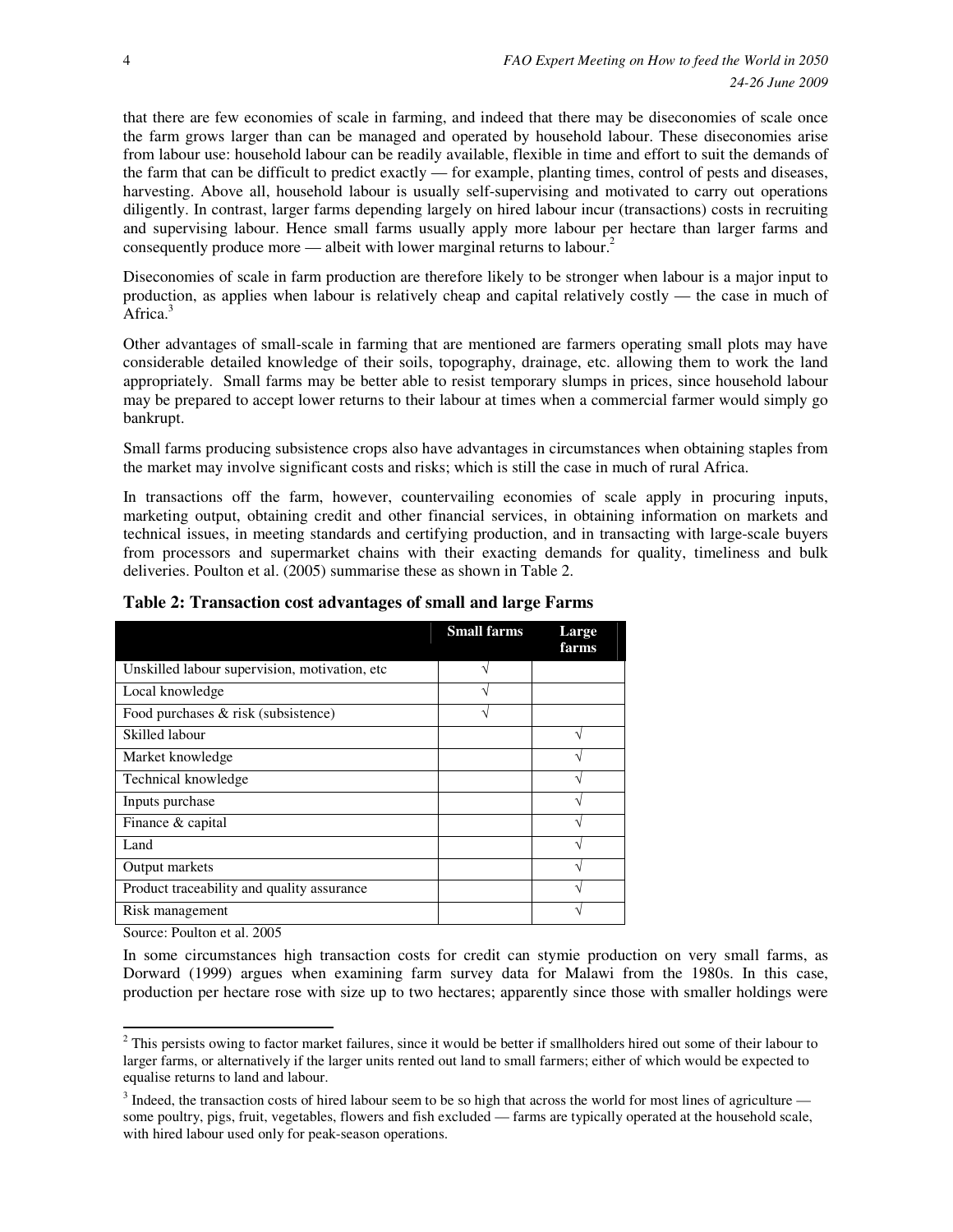that there are few economies of scale in farming, and indeed that there may be diseconomies of scale once the farm grows larger than can be managed and operated by household labour. These diseconomies arise from labour use: household labour can be readily available, flexible in time and effort to suit the demands of the farm that can be difficult to predict exactly — for example, planting times, control of pests and diseases, harvesting. Above all, household labour is usually self-supervising and motivated to carry out operations diligently. In contrast, larger farms depending largely on hired labour incur (transactions) costs in recruiting and supervising labour. Hence small farms usually apply more labour per hectare than larger farms and consequently produce more — albeit with lower marginal returns to labour.<sup>2</sup>

Diseconomies of scale in farm production are therefore likely to be stronger when labour is a major input to production, as applies when labour is relatively cheap and capital relatively costly — the case in much of Africa.<sup>3</sup>

Other advantages of small-scale in farming that are mentioned are farmers operating small plots may have considerable detailed knowledge of their soils, topography, drainage, etc. allowing them to work the land appropriately. Small farms may be better able to resist temporary slumps in prices, since household labour may be prepared to accept lower returns to their labour at times when a commercial farmer would simply go bankrupt.

Small farms producing subsistence crops also have advantages in circumstances when obtaining staples from the market may involve significant costs and risks; which is still the case in much of rural Africa.

In transactions off the farm, however, countervailing economies of scale apply in procuring inputs, marketing output, obtaining credit and other financial services, in obtaining information on markets and technical issues, in meeting standards and certifying production, and in transacting with large-scale buyers from processors and supermarket chains with their exacting demands for quality, timeliness and bulk deliveries. Poulton et al. (2005) summarise these as shown in Table 2.

|                                               | <b>Small farms</b> | Large<br>farms |
|-----------------------------------------------|--------------------|----------------|
| Unskilled labour supervision, motivation, etc |                    |                |
| Local knowledge                               |                    |                |
| Food purchases $\&$ risk (subsistence)        |                    |                |
| Skilled labour                                |                    | ٦              |
| Market knowledge                              |                    |                |
| Technical knowledge                           |                    |                |
| Inputs purchase                               |                    |                |
| Finance & capital                             |                    |                |
| Land                                          |                    |                |
| Output markets                                |                    |                |
| Product traceability and quality assurance    |                    |                |
| Risk management                               |                    |                |

#### **Table 2: Transaction cost advantages of small and large Farms**

Source: Poulton et al. 2005

 $\overline{a}$ 

In some circumstances high transaction costs for credit can stymie production on very small farms, as Dorward (1999) argues when examining farm survey data for Malawi from the 1980s. In this case, production per hectare rose with size up to two hectares; apparently since those with smaller holdings were

 $2$  This persists owing to factor market failures, since it would be better if smallholders hired out some of their labour to larger farms, or alternatively if the larger units rented out land to small farmers; either of which would be expected to equalise returns to land and labour.

 $3$  Indeed, the transaction costs of hired labour seem to be so high that across the world for most lines of agriculture some poultry, pigs, fruit, vegetables, flowers and fish excluded — farms are typically operated at the household scale, with hired labour used only for peak-season operations.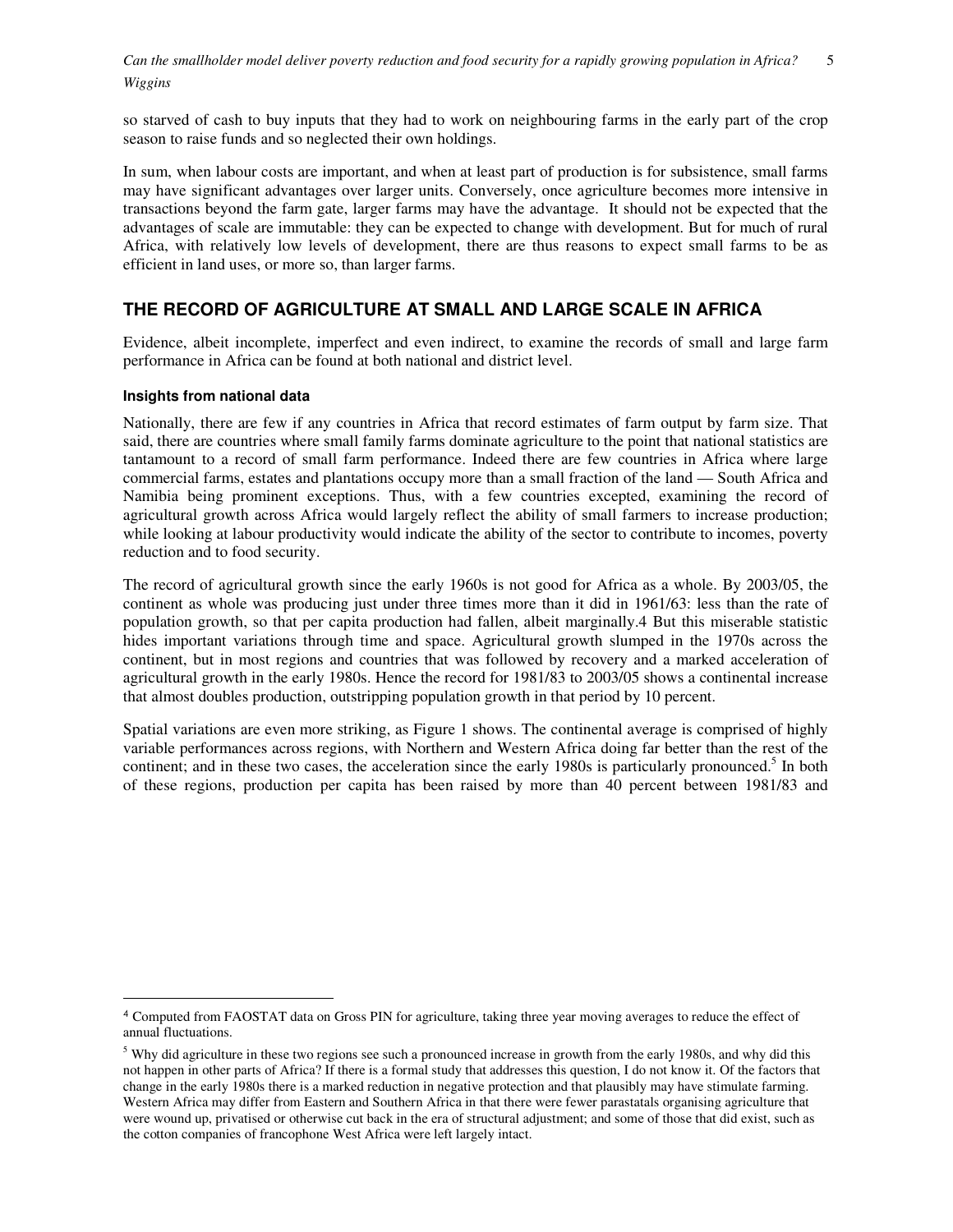so starved of cash to buy inputs that they had to work on neighbouring farms in the early part of the crop season to raise funds and so neglected their own holdings.

In sum, when labour costs are important, and when at least part of production is for subsistence, small farms may have significant advantages over larger units. Conversely, once agriculture becomes more intensive in transactions beyond the farm gate, larger farms may have the advantage. It should not be expected that the advantages of scale are immutable: they can be expected to change with development. But for much of rural Africa, with relatively low levels of development, there are thus reasons to expect small farms to be as efficient in land uses, or more so, than larger farms.

### **THE RECORD OF AGRICULTURE AT SMALL AND LARGE SCALE IN AFRICA**

Evidence, albeit incomplete, imperfect and even indirect, to examine the records of small and large farm performance in Africa can be found at both national and district level.

#### **Insights from national data**

 $\overline{a}$ 

Nationally, there are few if any countries in Africa that record estimates of farm output by farm size. That said, there are countries where small family farms dominate agriculture to the point that national statistics are tantamount to a record of small farm performance. Indeed there are few countries in Africa where large commercial farms, estates and plantations occupy more than a small fraction of the land — South Africa and Namibia being prominent exceptions. Thus, with a few countries excepted, examining the record of agricultural growth across Africa would largely reflect the ability of small farmers to increase production; while looking at labour productivity would indicate the ability of the sector to contribute to incomes, poverty reduction and to food security.

The record of agricultural growth since the early 1960s is not good for Africa as a whole. By 2003/05, the continent as whole was producing just under three times more than it did in 1961/63: less than the rate of population growth, so that per capita production had fallen, albeit marginally.4 But this miserable statistic hides important variations through time and space. Agricultural growth slumped in the 1970s across the continent, but in most regions and countries that was followed by recovery and a marked acceleration of agricultural growth in the early 1980s. Hence the record for 1981/83 to 2003/05 shows a continental increase that almost doubles production, outstripping population growth in that period by 10 percent.

Spatial variations are even more striking, as Figure 1 shows. The continental average is comprised of highly variable performances across regions, with Northern and Western Africa doing far better than the rest of the continent; and in these two cases, the acceleration since the early 1980s is particularly pronounced.<sup>5</sup> In both of these regions, production per capita has been raised by more than 40 percent between 1981/83 and

<sup>4</sup> Computed from FAOSTAT data on Gross PIN for agriculture, taking three year moving averages to reduce the effect of annual fluctuations.

 $<sup>5</sup>$  Why did agriculture in these two regions see such a pronounced increase in growth from the early 1980s, and why did this</sup> not happen in other parts of Africa? If there is a formal study that addresses this question, I do not know it. Of the factors that change in the early 1980s there is a marked reduction in negative protection and that plausibly may have stimulate farming. Western Africa may differ from Eastern and Southern Africa in that there were fewer parastatals organising agriculture that were wound up, privatised or otherwise cut back in the era of structural adjustment; and some of those that did exist, such as the cotton companies of francophone West Africa were left largely intact.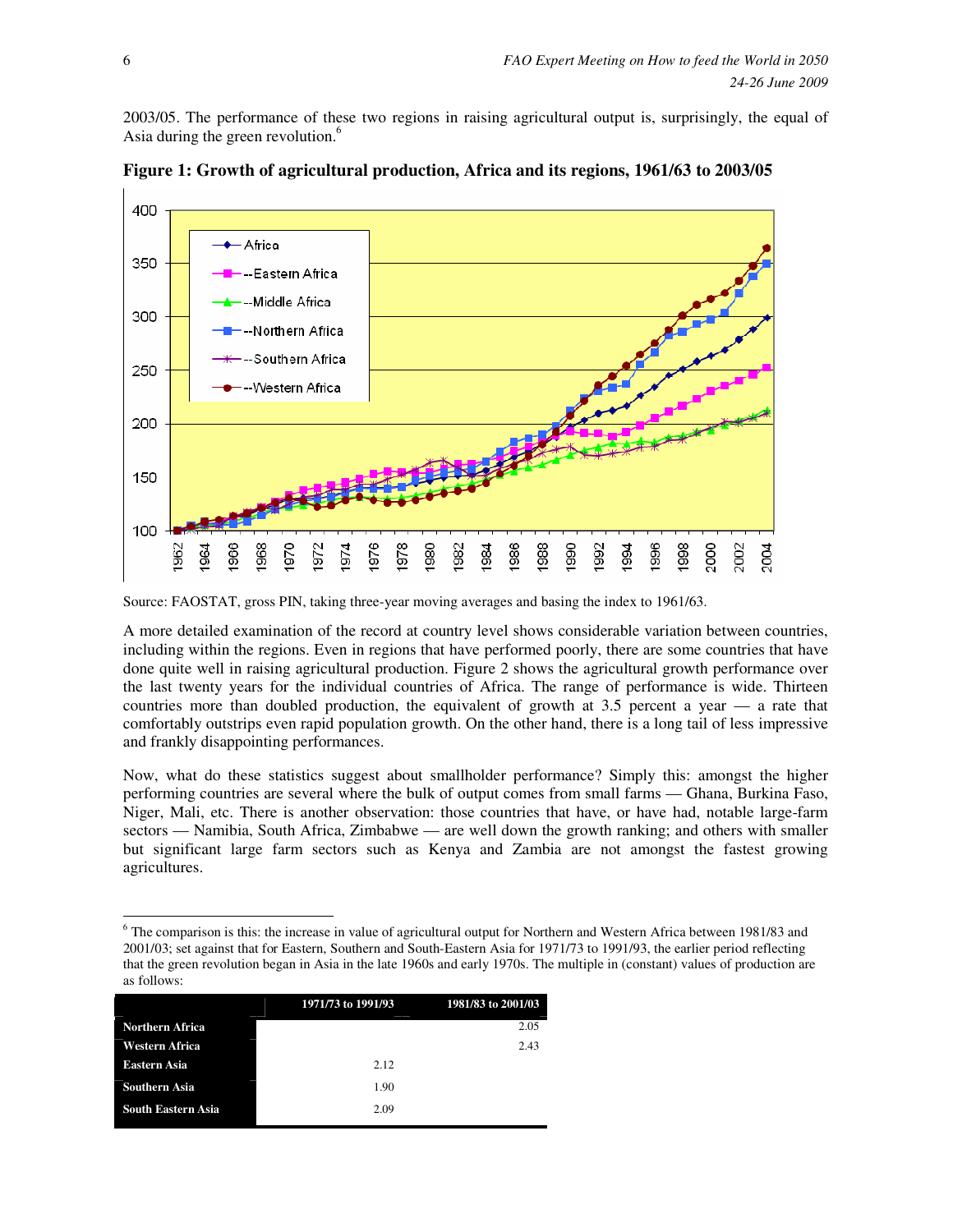2003/05. The performance of these two regions in raising agricultural output is, surprisingly, the equal of Asia during the green revolution.<sup>6</sup>



**Figure 1: Growth of agricultural production, Africa and its regions, 1961/63 to 2003/05** 

A more detailed examination of the record at country level shows considerable variation between countries, including within the regions. Even in regions that have performed poorly, there are some countries that have done quite well in raising agricultural production. Figure 2 shows the agricultural growth performance over the last twenty years for the individual countries of Africa. The range of performance is wide. Thirteen countries more than doubled production, the equivalent of growth at 3.5 percent a year — a rate that comfortably outstrips even rapid population growth. On the other hand, there is a long tail of less impressive and frankly disappointing performances.

Now, what do these statistics suggest about smallholder performance? Simply this: amongst the higher performing countries are several where the bulk of output comes from small farms — Ghana, Burkina Faso, Niger, Mali, etc. There is another observation: those countries that have, or have had, notable large-farm sectors — Namibia, South Africa, Zimbabwe — are well down the growth ranking; and others with smaller but significant large farm sectors such as Kenya and Zambia are not amongst the fastest growing agricultures.

<sup>&</sup>lt;sup>6</sup> The comparison is this: the increase in value of agricultural output for Northern and Western Africa between 1981/83 and 2001/03; set against that for Eastern, Southern and South-Eastern Asia for 1971/73 to 1991/93, the earlier period reflecting that the green revolution began in Asia in the late 1960s and early 1970s. The multiple in (constant) values of production are as follows:

|                           | 1971/73 to 1991/93 | 1981/83 to 2001/03 |
|---------------------------|--------------------|--------------------|
| <b>Northern Africa</b>    |                    | 2.05               |
| <b>Western Africa</b>     |                    | 2.43               |
| Eastern Asia              | 2.12               |                    |
| <b>Southern Asia</b>      | 1.90               |                    |
| <b>South Eastern Asia</b> | 2.09               |                    |

Source: FAOSTAT, gross PIN, taking three-year moving averages and basing the index to 1961/63.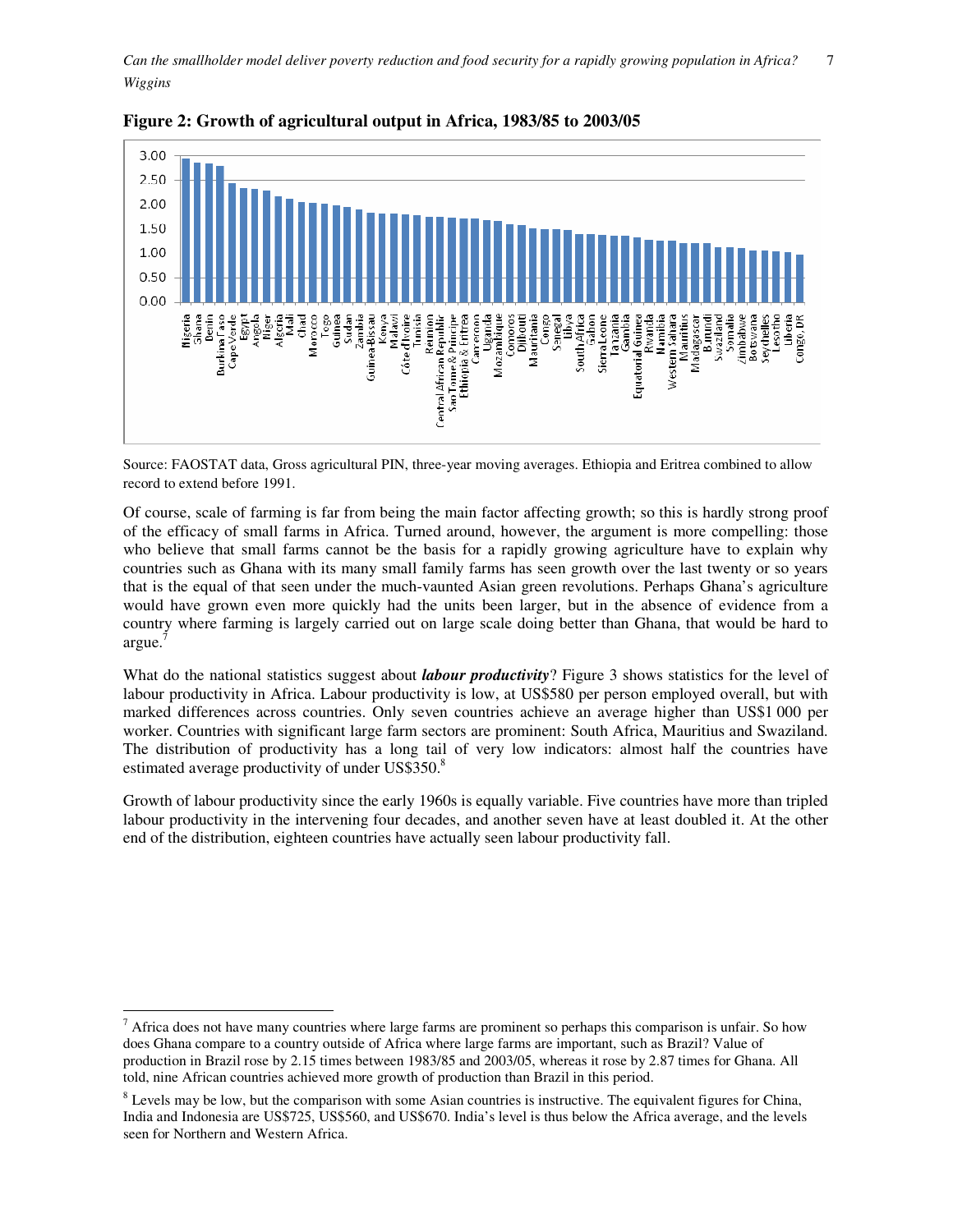

**Figure 2: Growth of agricultural output in Africa, 1983/85 to 2003/05** 

Source: FAOSTAT data, Gross agricultural PIN, three-year moving averages. Ethiopia and Eritrea combined to allow record to extend before 1991.

Of course, scale of farming is far from being the main factor affecting growth; so this is hardly strong proof of the efficacy of small farms in Africa. Turned around, however, the argument is more compelling: those who believe that small farms cannot be the basis for a rapidly growing agriculture have to explain why countries such as Ghana with its many small family farms has seen growth over the last twenty or so years that is the equal of that seen under the much-vaunted Asian green revolutions. Perhaps Ghana's agriculture would have grown even more quickly had the units been larger, but in the absence of evidence from a country where farming is largely carried out on large scale doing better than Ghana, that would be hard to argue.<sup>7</sup>

What do the national statistics suggest about *labour productivity*? Figure 3 shows statistics for the level of labour productivity in Africa. Labour productivity is low, at US\$580 per person employed overall, but with marked differences across countries. Only seven countries achieve an average higher than US\$1 000 per worker. Countries with significant large farm sectors are prominent: South Africa, Mauritius and Swaziland. The distribution of productivity has a long tail of very low indicators: almost half the countries have estimated average productivity of under US\$350.8

Growth of labour productivity since the early 1960s is equally variable. Five countries have more than tripled labour productivity in the intervening four decades, and another seven have at least doubled it. At the other end of the distribution, eighteen countries have actually seen labour productivity fall.

 $<sup>7</sup>$  Africa does not have many countries where large farms are prominent so perhaps this comparison is unfair. So how</sup> does Ghana compare to a country outside of Africa where large farms are important, such as Brazil? Value of production in Brazil rose by 2.15 times between 1983/85 and 2003/05, whereas it rose by 2.87 times for Ghana. All told, nine African countries achieved more growth of production than Brazil in this period.

 $8$  Levels may be low, but the comparison with some Asian countries is instructive. The equivalent figures for China, India and Indonesia are US\$725, US\$560, and US\$670. India's level is thus below the Africa average, and the levels seen for Northern and Western Africa.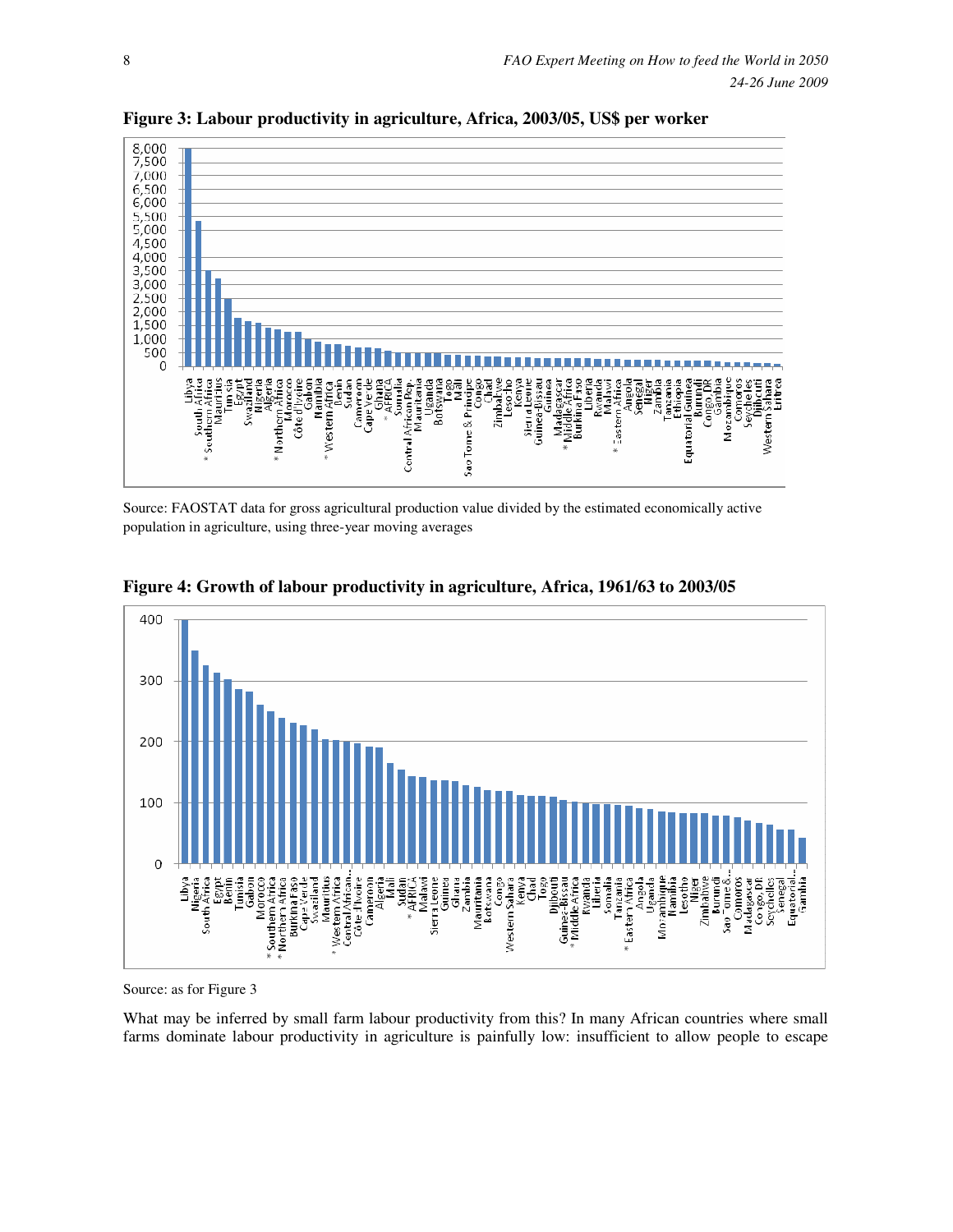

**Figure 3: Labour productivity in agriculture, Africa, 2003/05, US\$ per worker** 

Source: FAOSTAT data for gross agricultural production value divided by the estimated economically active population in agriculture, using three-year moving averages



**Figure 4: Growth of labour productivity in agriculture, Africa, 1961/63 to 2003/05** 

Source: as for Figure 3

What may be inferred by small farm labour productivity from this? In many African countries where small farms dominate labour productivity in agriculture is painfully low: insufficient to allow people to escape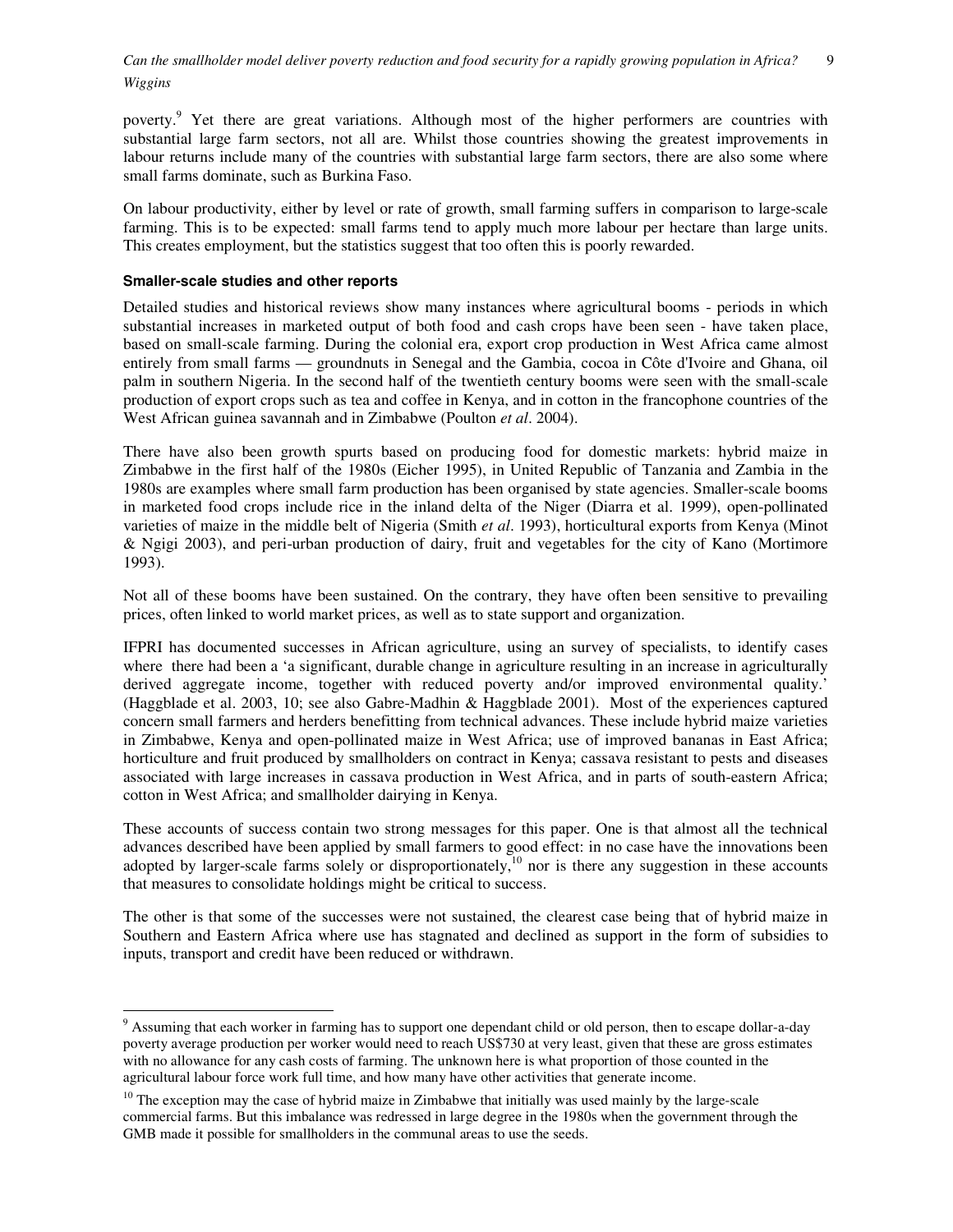poverty.<sup>9</sup> Yet there are great variations. Although most of the higher performers are countries with substantial large farm sectors, not all are. Whilst those countries showing the greatest improvements in labour returns include many of the countries with substantial large farm sectors, there are also some where small farms dominate, such as Burkina Faso.

On labour productivity, either by level or rate of growth, small farming suffers in comparison to large-scale farming. This is to be expected: small farms tend to apply much more labour per hectare than large units. This creates employment, but the statistics suggest that too often this is poorly rewarded.

#### **Smaller-scale studies and other reports**

 $\overline{a}$ 

Detailed studies and historical reviews show many instances where agricultural booms - periods in which substantial increases in marketed output of both food and cash crops have been seen - have taken place, based on small-scale farming. During the colonial era, export crop production in West Africa came almost entirely from small farms — groundnuts in Senegal and the Gambia, cocoa in Côte d'Ivoire and Ghana, oil palm in southern Nigeria. In the second half of the twentieth century booms were seen with the small-scale production of export crops such as tea and coffee in Kenya, and in cotton in the francophone countries of the West African guinea savannah and in Zimbabwe (Poulton *et al*. 2004).

There have also been growth spurts based on producing food for domestic markets: hybrid maize in Zimbabwe in the first half of the 1980s (Eicher 1995), in United Republic of Tanzania and Zambia in the 1980s are examples where small farm production has been organised by state agencies. Smaller-scale booms in marketed food crops include rice in the inland delta of the Niger (Diarra et al. 1999), open-pollinated varieties of maize in the middle belt of Nigeria (Smith *et al*. 1993), horticultural exports from Kenya (Minot & Ngigi 2003), and peri-urban production of dairy, fruit and vegetables for the city of Kano (Mortimore 1993).

Not all of these booms have been sustained. On the contrary, they have often been sensitive to prevailing prices, often linked to world market prices, as well as to state support and organization.

IFPRI has documented successes in African agriculture, using an survey of specialists, to identify cases where there had been a 'a significant, durable change in agriculture resulting in an increase in agriculturally derived aggregate income, together with reduced poverty and/or improved environmental quality.' (Haggblade et al. 2003, 10; see also Gabre-Madhin & Haggblade 2001). Most of the experiences captured concern small farmers and herders benefitting from technical advances. These include hybrid maize varieties in Zimbabwe, Kenya and open-pollinated maize in West Africa; use of improved bananas in East Africa; horticulture and fruit produced by smallholders on contract in Kenya; cassava resistant to pests and diseases associated with large increases in cassava production in West Africa, and in parts of south-eastern Africa; cotton in West Africa; and smallholder dairying in Kenya.

These accounts of success contain two strong messages for this paper. One is that almost all the technical advances described have been applied by small farmers to good effect: in no case have the innovations been adopted by larger-scale farms solely or disproportionately,<sup>10</sup> nor is there any suggestion in these accounts that measures to consolidate holdings might be critical to success.

The other is that some of the successes were not sustained, the clearest case being that of hybrid maize in Southern and Eastern Africa where use has stagnated and declined as support in the form of subsidies to inputs, transport and credit have been reduced or withdrawn.

<sup>&</sup>lt;sup>9</sup> Assuming that each worker in farming has to support one dependant child or old person, then to escape dollar-a-day poverty average production per worker would need to reach US\$730 at very least, given that these are gross estimates with no allowance for any cash costs of farming. The unknown here is what proportion of those counted in the agricultural labour force work full time, and how many have other activities that generate income.

<sup>&</sup>lt;sup>10</sup> The exception may the case of hybrid maize in Zimbabwe that initially was used mainly by the large-scale commercial farms. But this imbalance was redressed in large degree in the 1980s when the government through the GMB made it possible for smallholders in the communal areas to use the seeds.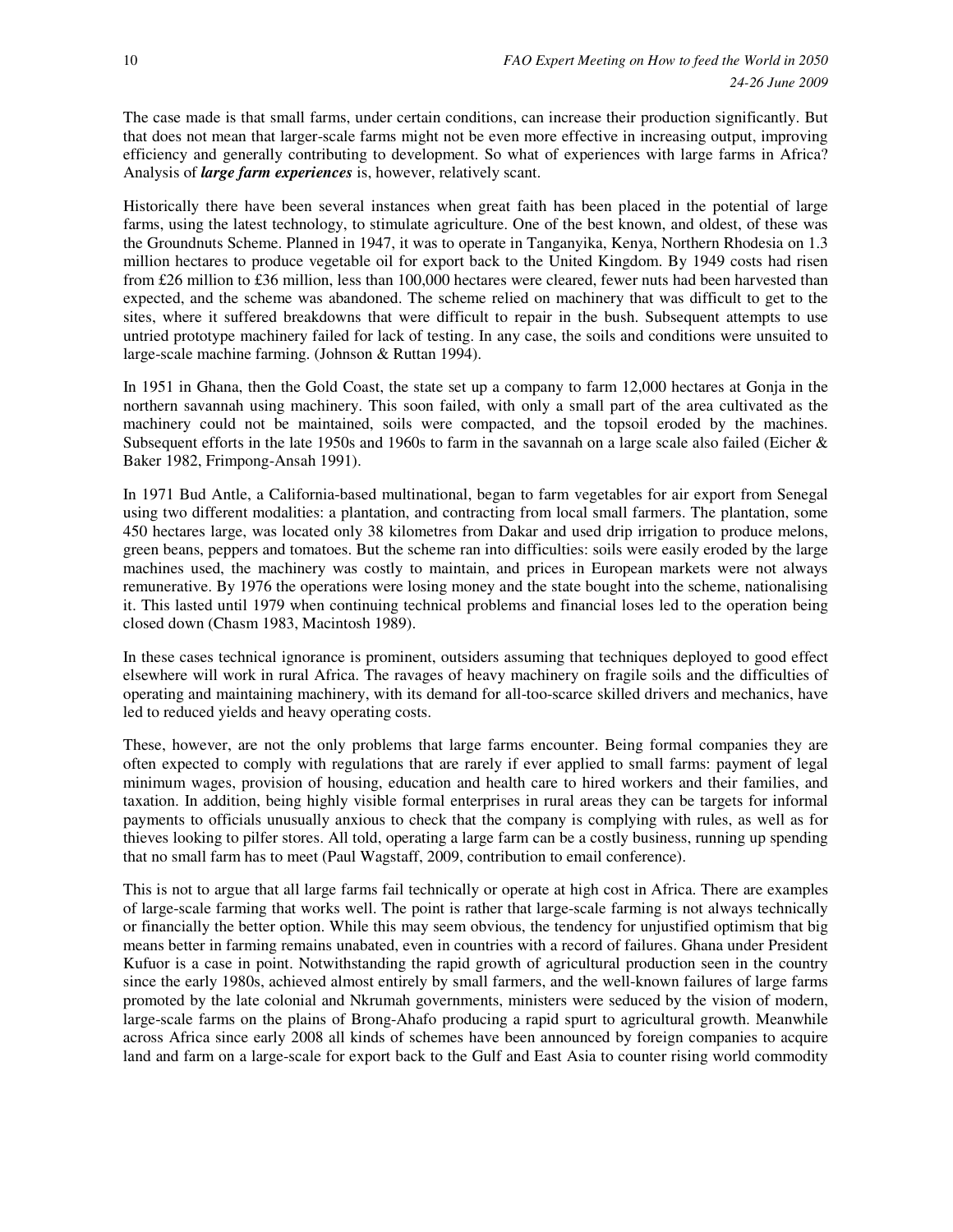The case made is that small farms, under certain conditions, can increase their production significantly. But that does not mean that larger-scale farms might not be even more effective in increasing output, improving efficiency and generally contributing to development. So what of experiences with large farms in Africa? Analysis of *large farm experiences* is, however, relatively scant.

Historically there have been several instances when great faith has been placed in the potential of large farms, using the latest technology, to stimulate agriculture. One of the best known, and oldest, of these was the Groundnuts Scheme. Planned in 1947, it was to operate in Tanganyika, Kenya, Northern Rhodesia on 1.3 million hectares to produce vegetable oil for export back to the United Kingdom. By 1949 costs had risen from £26 million to £36 million, less than 100,000 hectares were cleared, fewer nuts had been harvested than expected, and the scheme was abandoned. The scheme relied on machinery that was difficult to get to the sites, where it suffered breakdowns that were difficult to repair in the bush. Subsequent attempts to use untried prototype machinery failed for lack of testing. In any case, the soils and conditions were unsuited to large-scale machine farming. (Johnson & Ruttan 1994).

In 1951 in Ghana, then the Gold Coast, the state set up a company to farm 12,000 hectares at Gonja in the northern savannah using machinery. This soon failed, with only a small part of the area cultivated as the machinery could not be maintained, soils were compacted, and the topsoil eroded by the machines. Subsequent efforts in the late 1950s and 1960s to farm in the savannah on a large scale also failed (Eicher & Baker 1982, Frimpong-Ansah 1991).

In 1971 Bud Antle, a California-based multinational, began to farm vegetables for air export from Senegal using two different modalities: a plantation, and contracting from local small farmers. The plantation, some 450 hectares large, was located only 38 kilometres from Dakar and used drip irrigation to produce melons, green beans, peppers and tomatoes. But the scheme ran into difficulties: soils were easily eroded by the large machines used, the machinery was costly to maintain, and prices in European markets were not always remunerative. By 1976 the operations were losing money and the state bought into the scheme, nationalising it. This lasted until 1979 when continuing technical problems and financial loses led to the operation being closed down (Chasm 1983, Macintosh 1989).

In these cases technical ignorance is prominent, outsiders assuming that techniques deployed to good effect elsewhere will work in rural Africa. The ravages of heavy machinery on fragile soils and the difficulties of operating and maintaining machinery, with its demand for all-too-scarce skilled drivers and mechanics, have led to reduced yields and heavy operating costs.

These, however, are not the only problems that large farms encounter. Being formal companies they are often expected to comply with regulations that are rarely if ever applied to small farms: payment of legal minimum wages, provision of housing, education and health care to hired workers and their families, and taxation. In addition, being highly visible formal enterprises in rural areas they can be targets for informal payments to officials unusually anxious to check that the company is complying with rules, as well as for thieves looking to pilfer stores. All told, operating a large farm can be a costly business, running up spending that no small farm has to meet (Paul Wagstaff, 2009, contribution to email conference).

This is not to argue that all large farms fail technically or operate at high cost in Africa. There are examples of large-scale farming that works well. The point is rather that large-scale farming is not always technically or financially the better option. While this may seem obvious, the tendency for unjustified optimism that big means better in farming remains unabated, even in countries with a record of failures. Ghana under President Kufuor is a case in point. Notwithstanding the rapid growth of agricultural production seen in the country since the early 1980s, achieved almost entirely by small farmers, and the well-known failures of large farms promoted by the late colonial and Nkrumah governments, ministers were seduced by the vision of modern, large-scale farms on the plains of Brong-Ahafo producing a rapid spurt to agricultural growth. Meanwhile across Africa since early 2008 all kinds of schemes have been announced by foreign companies to acquire land and farm on a large-scale for export back to the Gulf and East Asia to counter rising world commodity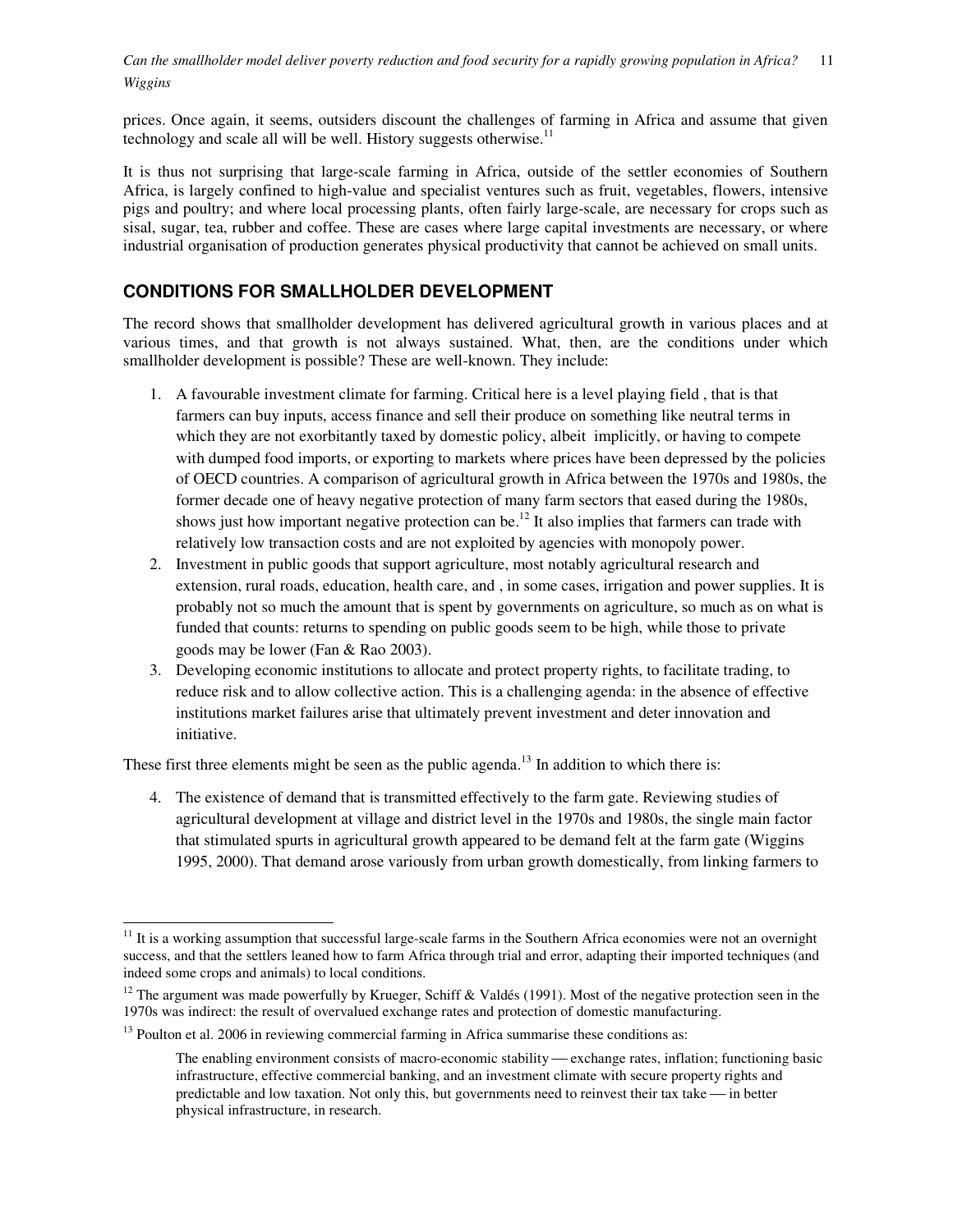prices. Once again, it seems, outsiders discount the challenges of farming in Africa and assume that given technology and scale all will be well. History suggests otherwise.<sup>11</sup>

It is thus not surprising that large-scale farming in Africa, outside of the settler economies of Southern Africa, is largely confined to high-value and specialist ventures such as fruit, vegetables, flowers, intensive pigs and poultry; and where local processing plants, often fairly large-scale, are necessary for crops such as sisal, sugar, tea, rubber and coffee. These are cases where large capital investments are necessary, or where industrial organisation of production generates physical productivity that cannot be achieved on small units.

# **CONDITIONS FOR SMALLHOLDER DEVELOPMENT**

The record shows that smallholder development has delivered agricultural growth in various places and at various times, and that growth is not always sustained. What, then, are the conditions under which smallholder development is possible? These are well-known. They include:

- 1. A favourable investment climate for farming. Critical here is a level playing field , that is that farmers can buy inputs, access finance and sell their produce on something like neutral terms in which they are not exorbitantly taxed by domestic policy, albeit implicitly, or having to compete with dumped food imports, or exporting to markets where prices have been depressed by the policies of OECD countries. A comparison of agricultural growth in Africa between the 1970s and 1980s, the former decade one of heavy negative protection of many farm sectors that eased during the 1980s, shows just how important negative protection can be.<sup>12</sup> It also implies that farmers can trade with relatively low transaction costs and are not exploited by agencies with monopoly power.
- 2. Investment in public goods that support agriculture, most notably agricultural research and extension, rural roads, education, health care, and , in some cases, irrigation and power supplies. It is probably not so much the amount that is spent by governments on agriculture, so much as on what is funded that counts: returns to spending on public goods seem to be high, while those to private goods may be lower (Fan & Rao 2003).
- 3. Developing economic institutions to allocate and protect property rights, to facilitate trading, to reduce risk and to allow collective action. This is a challenging agenda: in the absence of effective institutions market failures arise that ultimately prevent investment and deter innovation and initiative.

These first three elements might be seen as the public agenda.<sup>13</sup> In addition to which there is:

4. The existence of demand that is transmitted effectively to the farm gate. Reviewing studies of agricultural development at village and district level in the 1970s and 1980s, the single main factor that stimulated spurts in agricultural growth appeared to be demand felt at the farm gate (Wiggins 1995, 2000). That demand arose variously from urban growth domestically, from linking farmers to

 $11$  It is a working assumption that successful large-scale farms in the Southern Africa economies were not an overnight success, and that the settlers leaned how to farm Africa through trial and error, adapting their imported techniques (and indeed some crops and animals) to local conditions.

<sup>&</sup>lt;sup>12</sup> The argument was made powerfully by Krueger, Schiff & Valdés (1991). Most of the negative protection seen in the 1970s was indirect: the result of overvalued exchange rates and protection of domestic manufacturing.

 $13$  Poulton et al. 2006 in reviewing commercial farming in Africa summarise these conditions as:

The enabling environment consists of macro-economic stability — exchange rates, inflation; functioning basic infrastructure, effective commercial banking, and an investment climate with secure property rights and predictable and low taxation. Not only this, but governments need to reinvest their tax take — in better physical infrastructure, in research.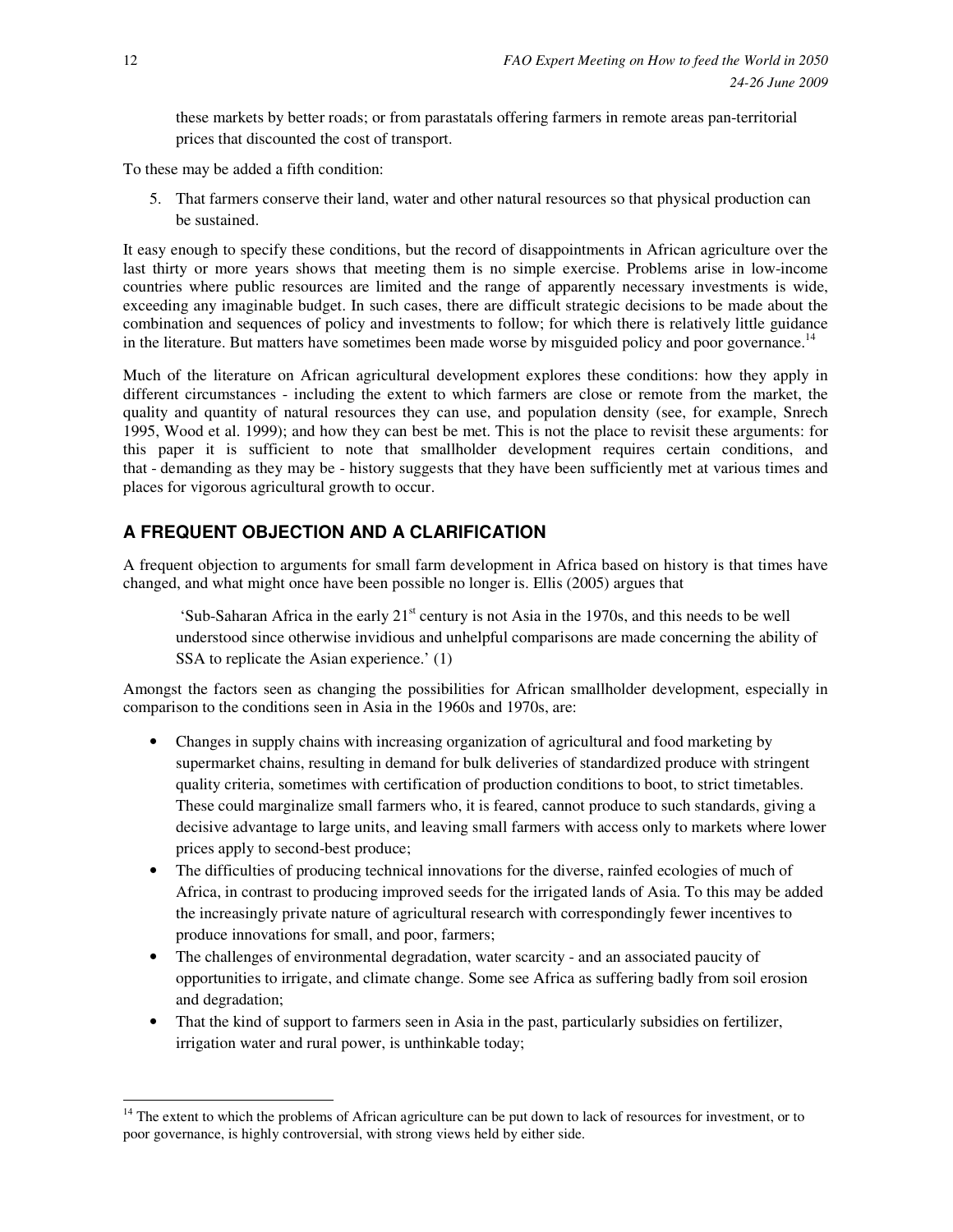these markets by better roads; or from parastatals offering farmers in remote areas pan-territorial prices that discounted the cost of transport.

To these may be added a fifth condition:

5. That farmers conserve their land, water and other natural resources so that physical production can be sustained.

It easy enough to specify these conditions, but the record of disappointments in African agriculture over the last thirty or more years shows that meeting them is no simple exercise. Problems arise in low-income countries where public resources are limited and the range of apparently necessary investments is wide, exceeding any imaginable budget. In such cases, there are difficult strategic decisions to be made about the combination and sequences of policy and investments to follow; for which there is relatively little guidance in the literature. But matters have sometimes been made worse by misguided policy and poor governance.<sup>14</sup>

Much of the literature on African agricultural development explores these conditions: how they apply in different circumstances - including the extent to which farmers are close or remote from the market, the quality and quantity of natural resources they can use, and population density (see, for example, Snrech 1995, Wood et al. 1999); and how they can best be met. This is not the place to revisit these arguments: for this paper it is sufficient to note that smallholder development requires certain conditions, and that - demanding as they may be - history suggests that they have been sufficiently met at various times and places for vigorous agricultural growth to occur.

### **A FREQUENT OBJECTION AND A CLARIFICATION**

A frequent objection to arguments for small farm development in Africa based on history is that times have changed, and what might once have been possible no longer is. Ellis (2005) argues that

'Sub-Saharan Africa in the early  $21<sup>st</sup>$  century is not Asia in the 1970s, and this needs to be well understood since otherwise invidious and unhelpful comparisons are made concerning the ability of SSA to replicate the Asian experience.' (1)

Amongst the factors seen as changing the possibilities for African smallholder development, especially in comparison to the conditions seen in Asia in the 1960s and 1970s, are:

- Changes in supply chains with increasing organization of agricultural and food marketing by supermarket chains, resulting in demand for bulk deliveries of standardized produce with stringent quality criteria, sometimes with certification of production conditions to boot, to strict timetables. These could marginalize small farmers who, it is feared, cannot produce to such standards, giving a decisive advantage to large units, and leaving small farmers with access only to markets where lower prices apply to second-best produce;
- The difficulties of producing technical innovations for the diverse, rainfed ecologies of much of Africa, in contrast to producing improved seeds for the irrigated lands of Asia. To this may be added the increasingly private nature of agricultural research with correspondingly fewer incentives to produce innovations for small, and poor, farmers;
- The challenges of environmental degradation, water scarcity and an associated paucity of opportunities to irrigate, and climate change. Some see Africa as suffering badly from soil erosion and degradation;
- That the kind of support to farmers seen in Asia in the past, particularly subsidies on fertilizer, irrigation water and rural power, is unthinkable today;

 $14$  The extent to which the problems of African agriculture can be put down to lack of resources for investment, or to poor governance, is highly controversial, with strong views held by either side.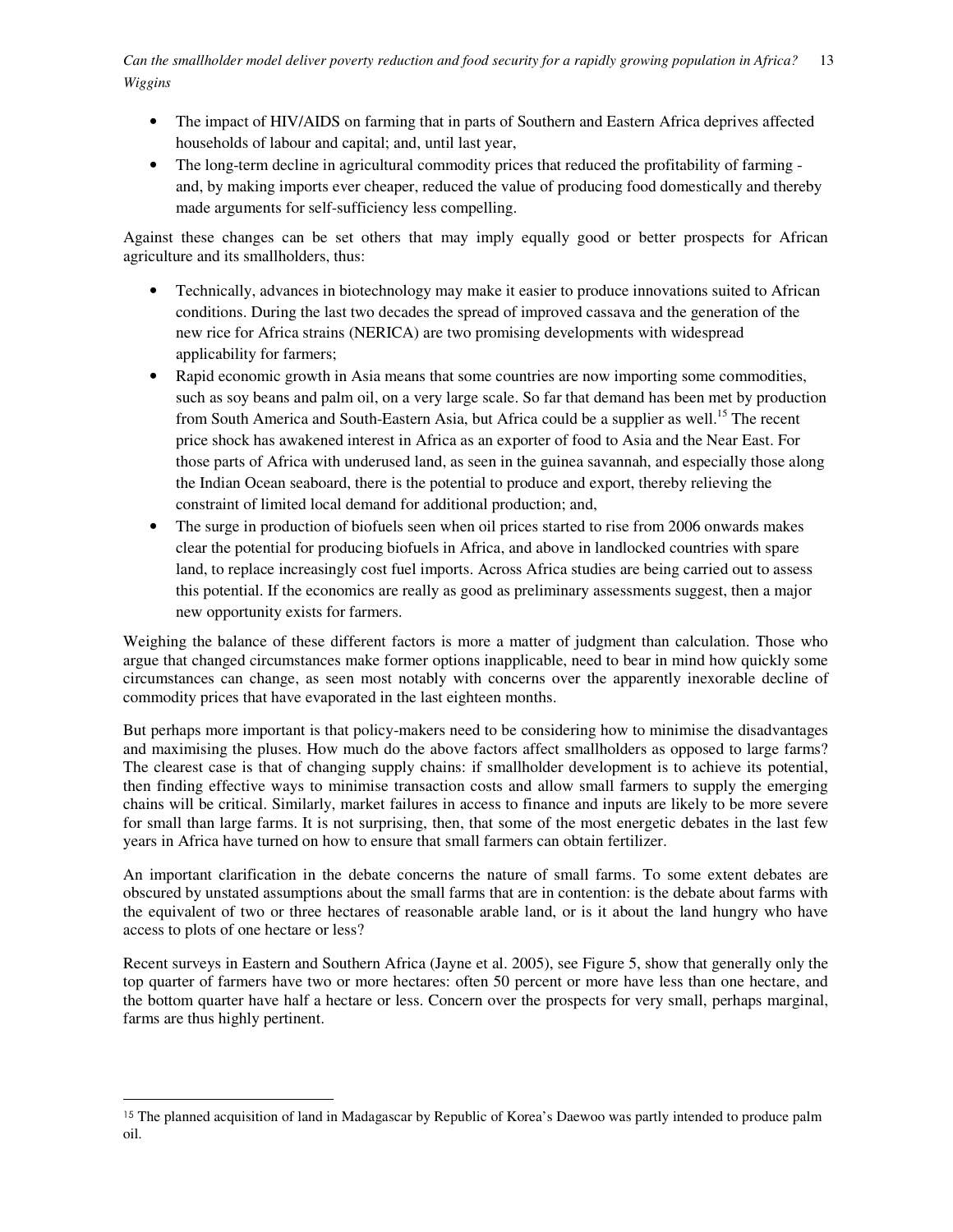- The impact of HIV/AIDS on farming that in parts of Southern and Eastern Africa deprives affected households of labour and capital; and, until last year,
- The long-term decline in agricultural commodity prices that reduced the profitability of farming and, by making imports ever cheaper, reduced the value of producing food domestically and thereby made arguments for self-sufficiency less compelling.

Against these changes can be set others that may imply equally good or better prospects for African agriculture and its smallholders, thus:

- Technically, advances in biotechnology may make it easier to produce innovations suited to African conditions. During the last two decades the spread of improved cassava and the generation of the new rice for Africa strains (NERICA) are two promising developments with widespread applicability for farmers;
- Rapid economic growth in Asia means that some countries are now importing some commodities, such as soy beans and palm oil, on a very large scale. So far that demand has been met by production from South America and South-Eastern Asia, but Africa could be a supplier as well.<sup>15</sup> The recent price shock has awakened interest in Africa as an exporter of food to Asia and the Near East. For those parts of Africa with underused land, as seen in the guinea savannah, and especially those along the Indian Ocean seaboard, there is the potential to produce and export, thereby relieving the constraint of limited local demand for additional production; and,
- The surge in production of biofuels seen when oil prices started to rise from 2006 onwards makes clear the potential for producing biofuels in Africa, and above in landlocked countries with spare land, to replace increasingly cost fuel imports. Across Africa studies are being carried out to assess this potential. If the economics are really as good as preliminary assessments suggest, then a major new opportunity exists for farmers.

Weighing the balance of these different factors is more a matter of judgment than calculation. Those who argue that changed circumstances make former options inapplicable, need to bear in mind how quickly some circumstances can change, as seen most notably with concerns over the apparently inexorable decline of commodity prices that have evaporated in the last eighteen months.

But perhaps more important is that policy-makers need to be considering how to minimise the disadvantages and maximising the pluses. How much do the above factors affect smallholders as opposed to large farms? The clearest case is that of changing supply chains: if smallholder development is to achieve its potential, then finding effective ways to minimise transaction costs and allow small farmers to supply the emerging chains will be critical. Similarly, market failures in access to finance and inputs are likely to be more severe for small than large farms. It is not surprising, then, that some of the most energetic debates in the last few years in Africa have turned on how to ensure that small farmers can obtain fertilizer.

An important clarification in the debate concerns the nature of small farms. To some extent debates are obscured by unstated assumptions about the small farms that are in contention: is the debate about farms with the equivalent of two or three hectares of reasonable arable land, or is it about the land hungry who have access to plots of one hectare or less?

Recent surveys in Eastern and Southern Africa (Jayne et al. 2005), see Figure 5, show that generally only the top quarter of farmers have two or more hectares: often 50 percent or more have less than one hectare, and the bottom quarter have half a hectare or less. Concern over the prospects for very small, perhaps marginal, farms are thus highly pertinent.

<sup>&</sup>lt;sup>15</sup> The planned acquisition of land in Madagascar by Republic of Korea's Daewoo was partly intended to produce palm oil.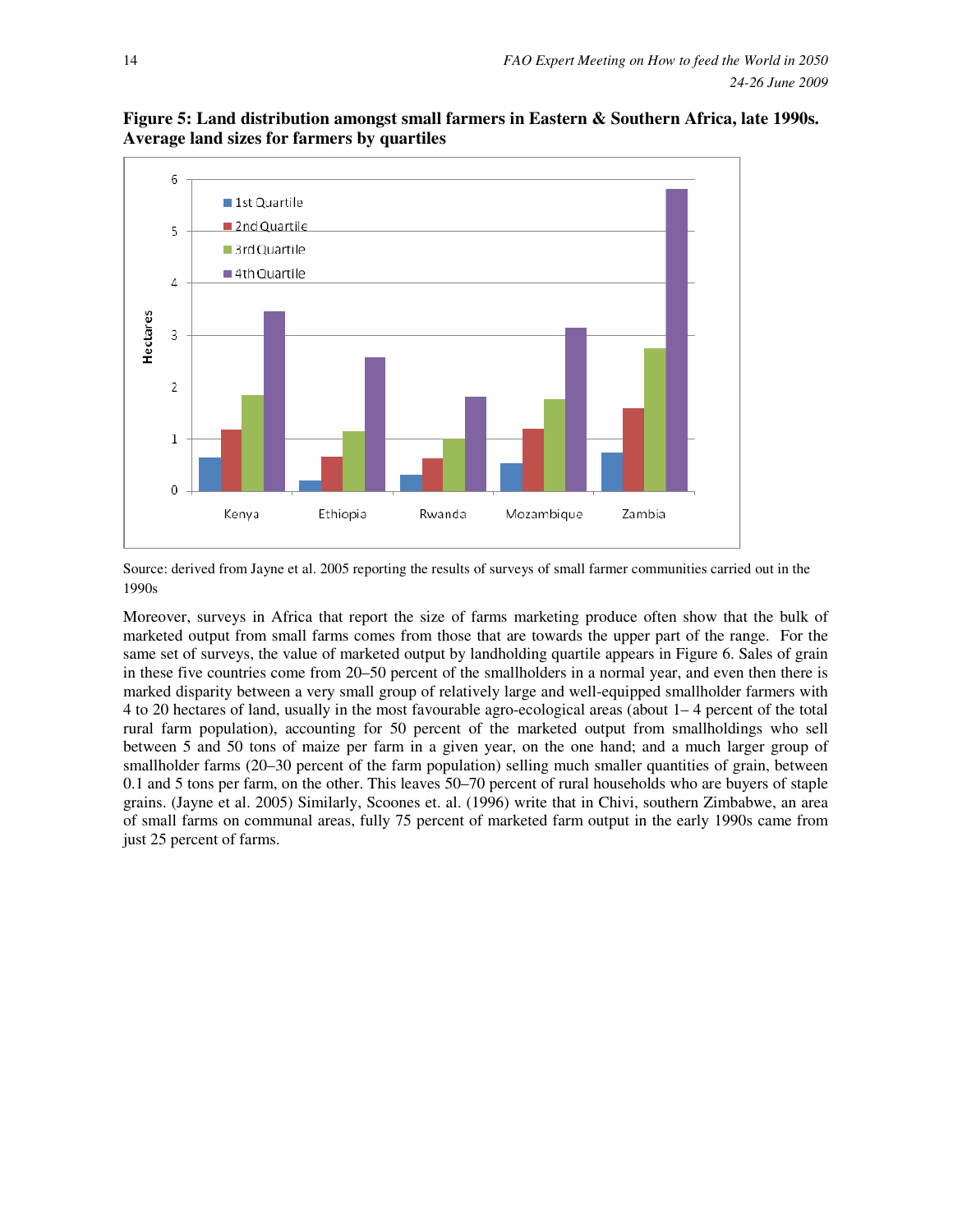

**Figure 5: Land distribution amongst small farmers in Eastern & Southern Africa, late 1990s. Average land sizes for farmers by quartiles** 

Source: derived from Jayne et al. 2005 reporting the results of surveys of small farmer communities carried out in the 1990s

Moreover, surveys in Africa that report the size of farms marketing produce often show that the bulk of marketed output from small farms comes from those that are towards the upper part of the range. For the same set of surveys, the value of marketed output by landholding quartile appears in Figure 6. Sales of grain in these five countries come from 20–50 percent of the smallholders in a normal year, and even then there is marked disparity between a very small group of relatively large and well-equipped smallholder farmers with 4 to 20 hectares of land, usually in the most favourable agro-ecological areas (about 1– 4 percent of the total rural farm population), accounting for 50 percent of the marketed output from smallholdings who sell between 5 and 50 tons of maize per farm in a given year, on the one hand; and a much larger group of smallholder farms (20–30 percent of the farm population) selling much smaller quantities of grain, between 0.1 and 5 tons per farm, on the other. This leaves 50–70 percent of rural households who are buyers of staple grains. (Jayne et al. 2005) Similarly, Scoones et. al. (1996) write that in Chivi, southern Zimbabwe, an area of small farms on communal areas, fully 75 percent of marketed farm output in the early 1990s came from just 25 percent of farms.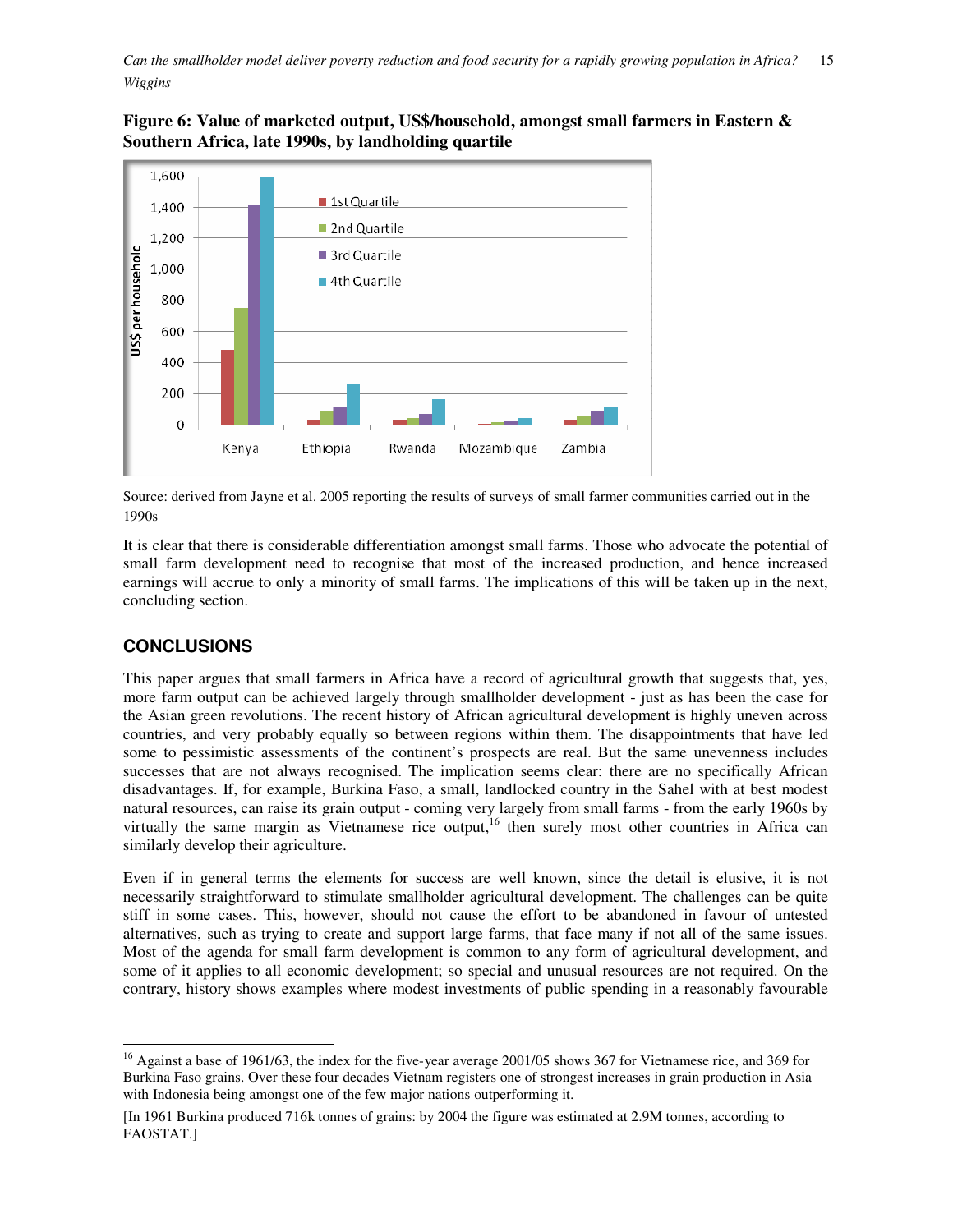### **Figure 6: Value of marketed output, US\$/household, amongst small farmers in Eastern & Southern Africa, late 1990s, by landholding quartile**



Source: derived from Jayne et al. 2005 reporting the results of surveys of small farmer communities carried out in the 1990s

It is clear that there is considerable differentiation amongst small farms. Those who advocate the potential of small farm development need to recognise that most of the increased production, and hence increased earnings will accrue to only a minority of small farms. The implications of this will be taken up in the next, concluding section.

# **CONCLUSIONS**

 $\overline{a}$ 

This paper argues that small farmers in Africa have a record of agricultural growth that suggests that, yes, more farm output can be achieved largely through smallholder development - just as has been the case for the Asian green revolutions. The recent history of African agricultural development is highly uneven across countries, and very probably equally so between regions within them. The disappointments that have led some to pessimistic assessments of the continent's prospects are real. But the same unevenness includes successes that are not always recognised. The implication seems clear: there are no specifically African disadvantages. If, for example, Burkina Faso, a small, landlocked country in the Sahel with at best modest natural resources, can raise its grain output - coming very largely from small farms - from the early 1960s by virtually the same margin as Vietnamese rice output,<sup>16</sup> then surely most other countries in Africa can similarly develop their agriculture.

Even if in general terms the elements for success are well known, since the detail is elusive, it is not necessarily straightforward to stimulate smallholder agricultural development. The challenges can be quite stiff in some cases. This, however, should not cause the effort to be abandoned in favour of untested alternatives, such as trying to create and support large farms, that face many if not all of the same issues. Most of the agenda for small farm development is common to any form of agricultural development, and some of it applies to all economic development; so special and unusual resources are not required. On the contrary, history shows examples where modest investments of public spending in a reasonably favourable

<sup>&</sup>lt;sup>16</sup> Against a base of 1961/63, the index for the five-year average 2001/05 shows 367 for Vietnamese rice, and 369 for Burkina Faso grains. Over these four decades Vietnam registers one of strongest increases in grain production in Asia with Indonesia being amongst one of the few major nations outperforming it.

<sup>[</sup>In 1961 Burkina produced 716k tonnes of grains: by 2004 the figure was estimated at 2.9M tonnes, according to FAOSTAT.]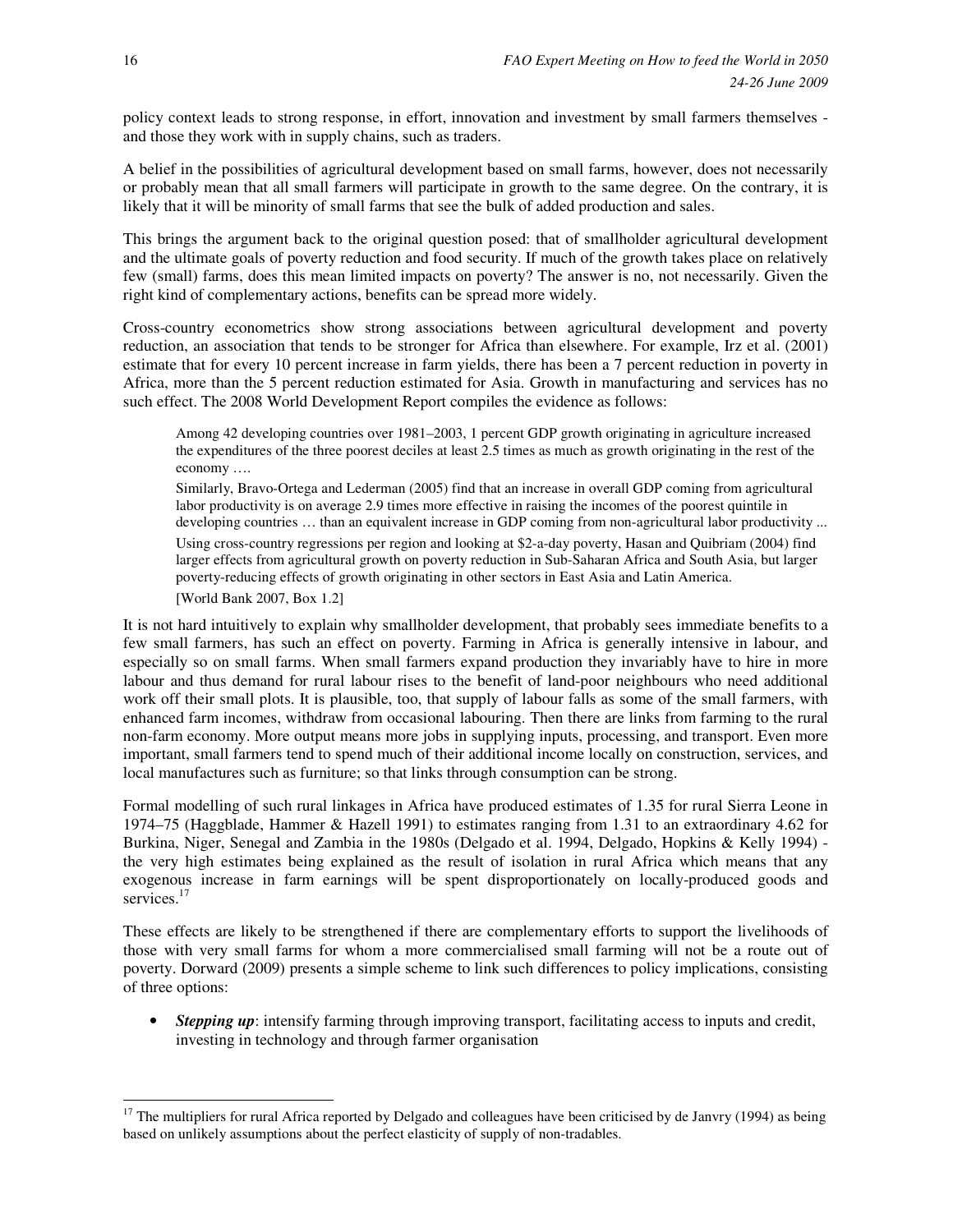policy context leads to strong response, in effort, innovation and investment by small farmers themselves and those they work with in supply chains, such as traders.

A belief in the possibilities of agricultural development based on small farms, however, does not necessarily or probably mean that all small farmers will participate in growth to the same degree. On the contrary, it is likely that it will be minority of small farms that see the bulk of added production and sales.

This brings the argument back to the original question posed: that of smallholder agricultural development and the ultimate goals of poverty reduction and food security. If much of the growth takes place on relatively few (small) farms, does this mean limited impacts on poverty? The answer is no, not necessarily. Given the right kind of complementary actions, benefits can be spread more widely.

Cross-country econometrics show strong associations between agricultural development and poverty reduction, an association that tends to be stronger for Africa than elsewhere. For example, Irz et al. (2001) estimate that for every 10 percent increase in farm yields, there has been a 7 percent reduction in poverty in Africa, more than the 5 percent reduction estimated for Asia. Growth in manufacturing and services has no such effect. The 2008 World Development Report compiles the evidence as follows:

Among 42 developing countries over 1981–2003, 1 percent GDP growth originating in agriculture increased the expenditures of the three poorest deciles at least 2.5 times as much as growth originating in the rest of the economy ….

Similarly, Bravo-Ortega and Lederman (2005) find that an increase in overall GDP coming from agricultural labor productivity is on average 2.9 times more effective in raising the incomes of the poorest quintile in developing countries ... than an equivalent increase in GDP coming from non-agricultural labor productivity ... Using cross-country regressions per region and looking at \$2-a-day poverty, Hasan and Quibriam (2004) find larger effects from agricultural growth on poverty reduction in Sub-Saharan Africa and South Asia, but larger poverty-reducing effects of growth originating in other sectors in East Asia and Latin America.

[World Bank 2007, Box 1.2]

It is not hard intuitively to explain why smallholder development, that probably sees immediate benefits to a few small farmers, has such an effect on poverty. Farming in Africa is generally intensive in labour, and especially so on small farms. When small farmers expand production they invariably have to hire in more labour and thus demand for rural labour rises to the benefit of land-poor neighbours who need additional work off their small plots. It is plausible, too, that supply of labour falls as some of the small farmers, with enhanced farm incomes, withdraw from occasional labouring. Then there are links from farming to the rural non-farm economy. More output means more jobs in supplying inputs, processing, and transport. Even more important, small farmers tend to spend much of their additional income locally on construction, services, and local manufactures such as furniture; so that links through consumption can be strong.

Formal modelling of such rural linkages in Africa have produced estimates of 1.35 for rural Sierra Leone in 1974–75 (Haggblade, Hammer & Hazell 1991) to estimates ranging from 1.31 to an extraordinary 4.62 for Burkina, Niger, Senegal and Zambia in the 1980s (Delgado et al. 1994, Delgado, Hopkins & Kelly 1994) the very high estimates being explained as the result of isolation in rural Africa which means that any exogenous increase in farm earnings will be spent disproportionately on locally-produced goods and services.<sup>17</sup>

These effects are likely to be strengthened if there are complementary efforts to support the livelihoods of those with very small farms for whom a more commercialised small farming will not be a route out of poverty. Dorward (2009) presents a simple scheme to link such differences to policy implications, consisting of three options:

• *Stepping up*: intensify farming through improving transport, facilitating access to inputs and credit, investing in technology and through farmer organisation

 $17$  The multipliers for rural Africa reported by Delgado and colleagues have been criticised by de Janvry (1994) as being based on unlikely assumptions about the perfect elasticity of supply of non-tradables.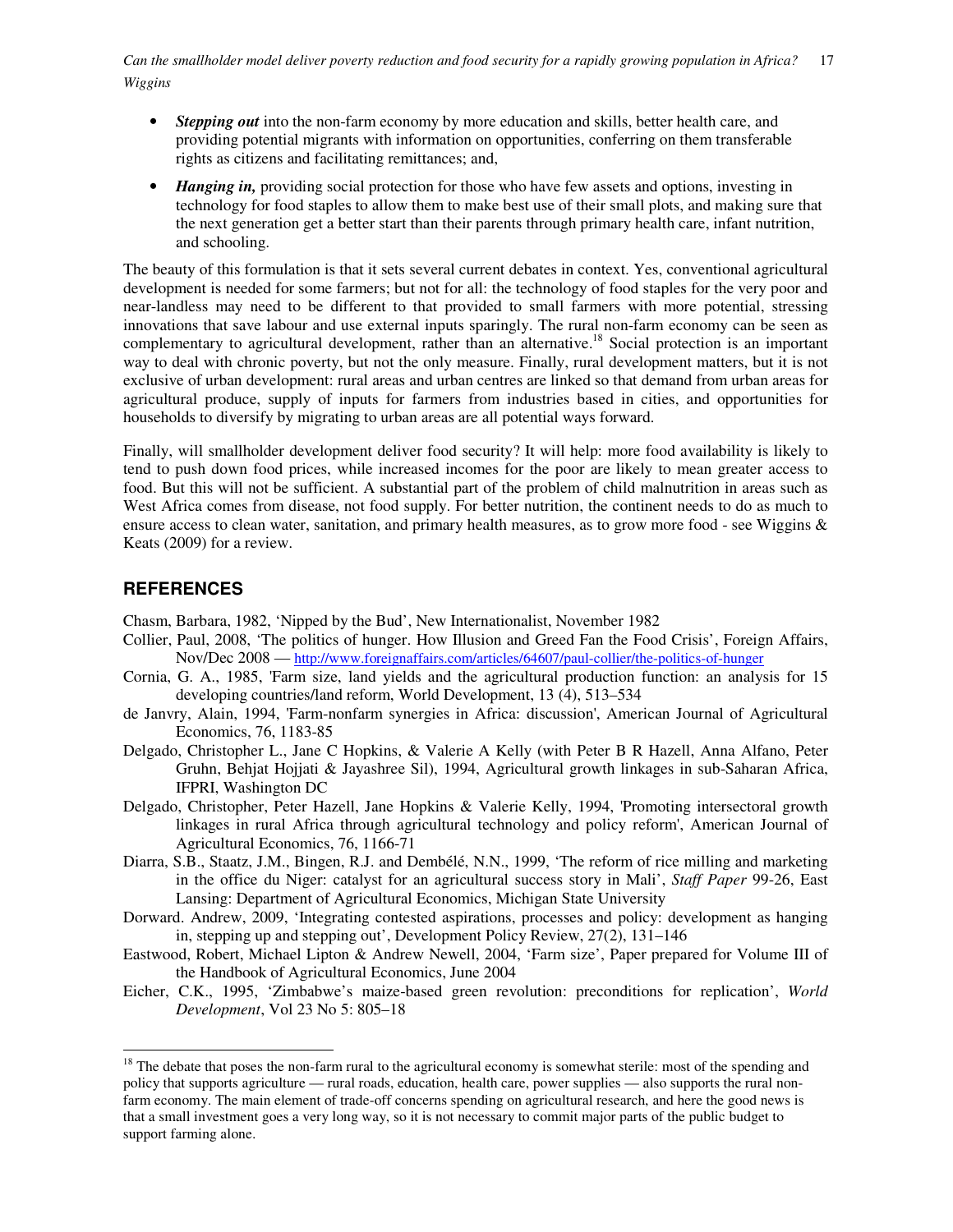*Can the smallholder model deliver poverty reduction and food security for a rapidly growing population in Africa?* 17 *Wiggins* 

- *Stepping out* into the non-farm economy by more education and skills, better health care, and providing potential migrants with information on opportunities, conferring on them transferable rights as citizens and facilitating remittances; and,
- *Hanging in,* providing social protection for those who have few assets and options, investing in technology for food staples to allow them to make best use of their small plots, and making sure that the next generation get a better start than their parents through primary health care, infant nutrition, and schooling.

The beauty of this formulation is that it sets several current debates in context. Yes, conventional agricultural development is needed for some farmers; but not for all: the technology of food staples for the very poor and near-landless may need to be different to that provided to small farmers with more potential, stressing innovations that save labour and use external inputs sparingly. The rural non-farm economy can be seen as complementary to agricultural development, rather than an alternative.<sup>18</sup> Social protection is an important way to deal with chronic poverty, but not the only measure. Finally, rural development matters, but it is not exclusive of urban development: rural areas and urban centres are linked so that demand from urban areas for agricultural produce, supply of inputs for farmers from industries based in cities, and opportunities for households to diversify by migrating to urban areas are all potential ways forward.

Finally, will smallholder development deliver food security? It will help: more food availability is likely to tend to push down food prices, while increased incomes for the poor are likely to mean greater access to food. But this will not be sufficient. A substantial part of the problem of child malnutrition in areas such as West Africa comes from disease, not food supply. For better nutrition, the continent needs to do as much to ensure access to clean water, sanitation, and primary health measures, as to grow more food - see Wiggins & Keats (2009) for a review.

### **REFERENCES**

 $\overline{a}$ 

Chasm, Barbara, 1982, 'Nipped by the Bud', New Internationalist, November 1982

- Collier, Paul, 2008, 'The politics of hunger. How Illusion and Greed Fan the Food Crisis', Foreign Affairs, Nov/Dec 2008 — http://www.foreignaffairs.com/articles/64607/paul-collier/the-politics-of-hunger
- Cornia, G. A., 1985, 'Farm size, land yields and the agricultural production function: an analysis for 15 developing countries/land reform, World Development, 13 (4), 513–534
- de Janvry, Alain, 1994, 'Farm-nonfarm synergies in Africa: discussion', American Journal of Agricultural Economics, 76, 1183-85
- Delgado, Christopher L., Jane C Hopkins, & Valerie A Kelly (with Peter B R Hazell, Anna Alfano, Peter Gruhn, Behjat Hojjati & Jayashree Sil), 1994, Agricultural growth linkages in sub-Saharan Africa, IFPRI, Washington DC
- Delgado, Christopher, Peter Hazell, Jane Hopkins & Valerie Kelly, 1994, 'Promoting intersectoral growth linkages in rural Africa through agricultural technology and policy reform', American Journal of Agricultural Economics, 76, 1166-71
- Diarra, S.B., Staatz, J.M., Bingen, R.J. and Dembélé, N.N., 1999, 'The reform of rice milling and marketing in the office du Niger: catalyst for an agricultural success story in Mali', *Staff Paper* 99-26, East Lansing: Department of Agricultural Economics, Michigan State University
- Dorward. Andrew, 2009, 'Integrating contested aspirations, processes and policy: development as hanging in, stepping up and stepping out', Development Policy Review, 27(2), 131–146
- Eastwood, Robert, Michael Lipton & Andrew Newell, 2004, 'Farm size', Paper prepared for Volume III of the Handbook of Agricultural Economics, June 2004
- Eicher, C.K., 1995, 'Zimbabwe's maize-based green revolution: preconditions for replication', *World Development*, Vol 23 No 5: 805–18

<sup>&</sup>lt;sup>18</sup> The debate that poses the non-farm rural to the agricultural economy is somewhat sterile: most of the spending and policy that supports agriculture — rural roads, education, health care, power supplies — also supports the rural nonfarm economy. The main element of trade-off concerns spending on agricultural research, and here the good news is that a small investment goes a very long way, so it is not necessary to commit major parts of the public budget to support farming alone.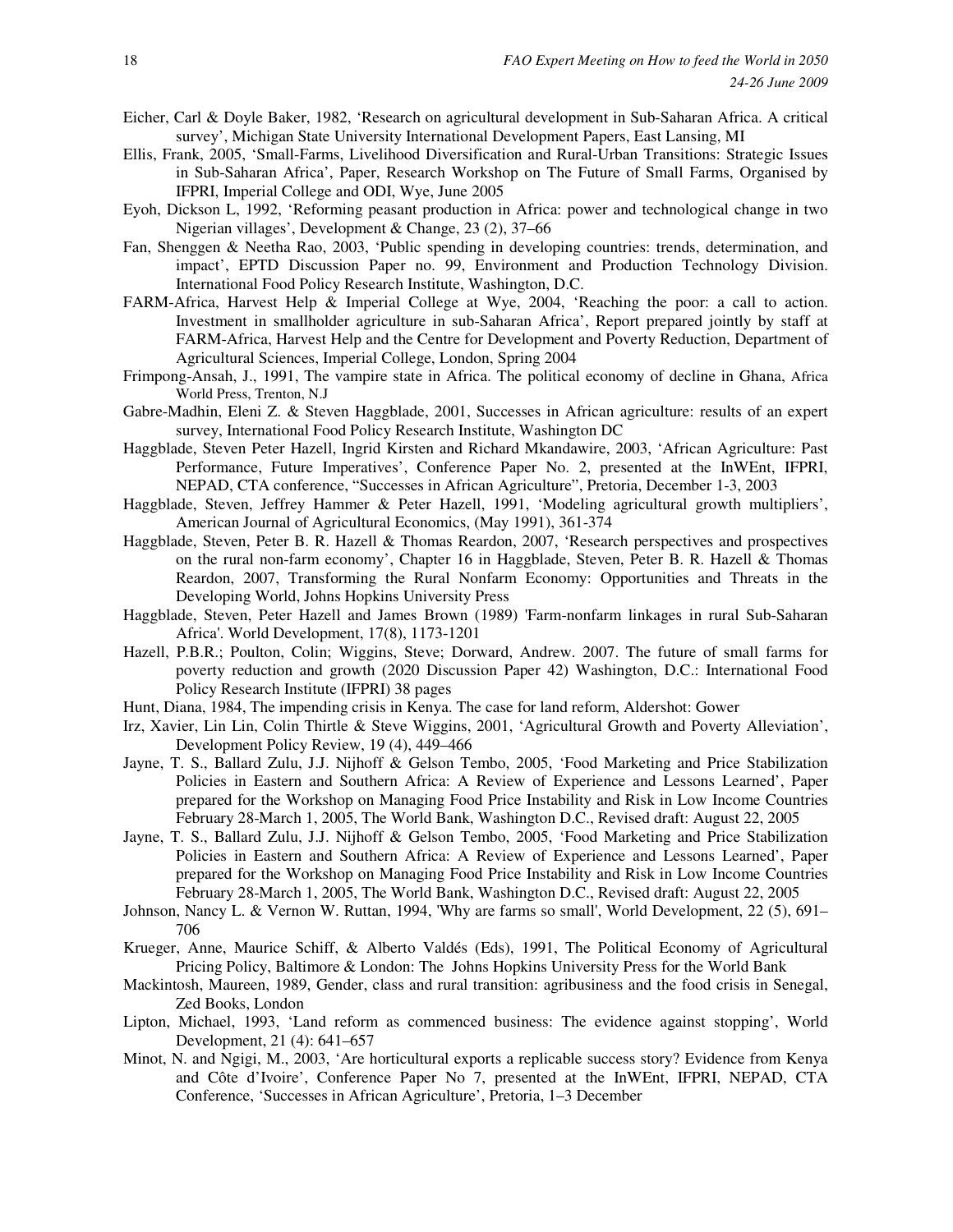- Eicher, Carl & Doyle Baker, 1982, 'Research on agricultural development in Sub-Saharan Africa. A critical survey', Michigan State University International Development Papers, East Lansing, MI
- Ellis, Frank, 2005, 'Small-Farms, Livelihood Diversification and Rural-Urban Transitions: Strategic Issues in Sub-Saharan Africa', Paper, Research Workshop on The Future of Small Farms, Organised by IFPRI, Imperial College and ODI, Wye, June 2005
- Eyoh, Dickson L, 1992, 'Reforming peasant production in Africa: power and technological change in two Nigerian villages', Development & Change, 23 (2), 37–66
- Fan, Shenggen & Neetha Rao, 2003, 'Public spending in developing countries: trends, determination, and impact', EPTD Discussion Paper no. 99, Environment and Production Technology Division. International Food Policy Research Institute, Washington, D.C.
- FARM-Africa, Harvest Help & Imperial College at Wye, 2004, 'Reaching the poor: a call to action. Investment in smallholder agriculture in sub-Saharan Africa', Report prepared jointly by staff at FARM-Africa, Harvest Help and the Centre for Development and Poverty Reduction, Department of Agricultural Sciences, Imperial College, London, Spring 2004
- Frimpong-Ansah, J., 1991, The vampire state in Africa. The political economy of decline in Ghana, Africa World Press, Trenton, N.J
- Gabre-Madhin, Eleni Z. & Steven Haggblade, 2001, Successes in African agriculture: results of an expert survey, International Food Policy Research Institute, Washington DC
- Haggblade, Steven Peter Hazell, Ingrid Kirsten and Richard Mkandawire, 2003, 'African Agriculture: Past Performance, Future Imperatives', Conference Paper No. 2, presented at the InWEnt, IFPRI, NEPAD, CTA conference, "Successes in African Agriculture", Pretoria, December 1-3, 2003
- Haggblade, Steven, Jeffrey Hammer & Peter Hazell, 1991, 'Modeling agricultural growth multipliers', American Journal of Agricultural Economics, (May 1991), 361-374
- Haggblade, Steven, Peter B. R. Hazell & Thomas Reardon, 2007, 'Research perspectives and prospectives on the rural non-farm economy', Chapter 16 in Haggblade, Steven, Peter B. R. Hazell & Thomas Reardon, 2007, Transforming the Rural Nonfarm Economy: Opportunities and Threats in the Developing World, Johns Hopkins University Press
- Haggblade, Steven, Peter Hazell and James Brown (1989) 'Farm-nonfarm linkages in rural Sub-Saharan Africa'. World Development, 17(8), 1173-1201
- Hazell, P.B.R.; Poulton, Colin; Wiggins, Steve; Dorward, Andrew. 2007. The future of small farms for poverty reduction and growth (2020 Discussion Paper 42) Washington, D.C.: International Food Policy Research Institute (IFPRI) 38 pages
- Hunt, Diana, 1984, The impending crisis in Kenya. The case for land reform, Aldershot: Gower
- Irz, Xavier, Lin Lin, Colin Thirtle & Steve Wiggins, 2001, 'Agricultural Growth and Poverty Alleviation', Development Policy Review, 19 (4), 449–466
- Jayne, T. S., Ballard Zulu, J.J. Nijhoff & Gelson Tembo, 2005, 'Food Marketing and Price Stabilization Policies in Eastern and Southern Africa: A Review of Experience and Lessons Learned', Paper prepared for the Workshop on Managing Food Price Instability and Risk in Low Income Countries February 28-March 1, 2005, The World Bank, Washington D.C., Revised draft: August 22, 2005
- Jayne, T. S., Ballard Zulu, J.J. Nijhoff & Gelson Tembo, 2005, 'Food Marketing and Price Stabilization Policies in Eastern and Southern Africa: A Review of Experience and Lessons Learned', Paper prepared for the Workshop on Managing Food Price Instability and Risk in Low Income Countries February 28-March 1, 2005, The World Bank, Washington D.C., Revised draft: August 22, 2005
- Johnson, Nancy L. & Vernon W. Ruttan, 1994, 'Why are farms so small', World Development, 22 (5), 691– 706
- Krueger, Anne, Maurice Schiff, & Alberto Valdés (Eds), 1991, The Political Economy of Agricultural Pricing Policy, Baltimore & London: The Johns Hopkins University Press for the World Bank
- Mackintosh, Maureen, 1989, Gender, class and rural transition: agribusiness and the food crisis in Senegal, Zed Books, London
- Lipton, Michael, 1993, 'Land reform as commenced business: The evidence against stopping', World Development, 21 (4): 641–657
- Minot, N. and Ngigi, M., 2003, 'Are horticultural exports a replicable success story? Evidence from Kenya and Côte d'Ivoire', Conference Paper No 7, presented at the InWEnt, IFPRI, NEPAD, CTA Conference, 'Successes in African Agriculture', Pretoria, 1–3 December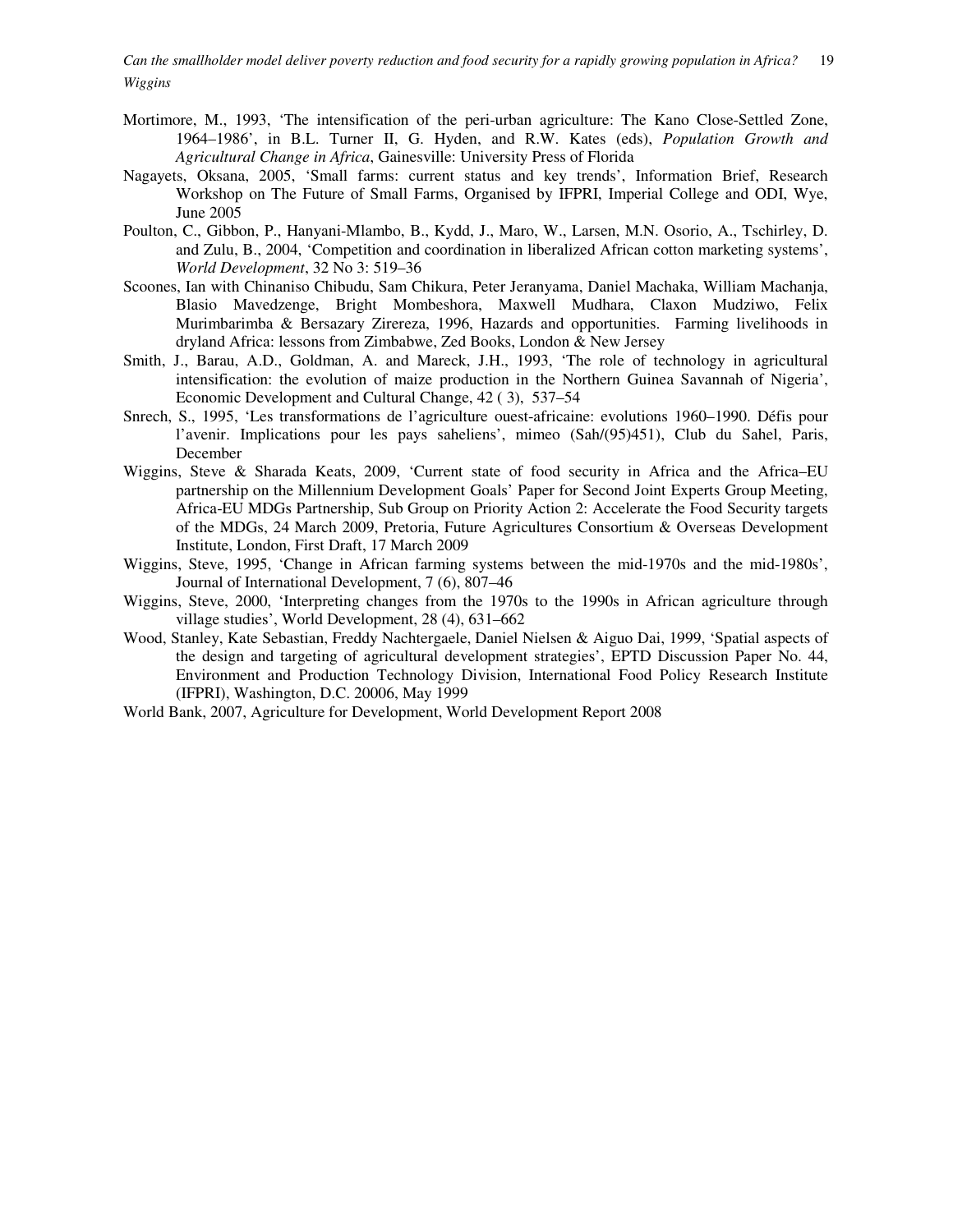*Can the smallholder model deliver poverty reduction and food security for a rapidly growing population in Africa?* 19 *Wiggins* 

- Mortimore, M., 1993, 'The intensification of the peri-urban agriculture: The Kano Close-Settled Zone, 1964–1986', in B.L. Turner II, G. Hyden, and R.W. Kates (eds), *Population Growth and Agricultural Change in Africa*, Gainesville: University Press of Florida
- Nagayets, Oksana, 2005, 'Small farms: current status and key trends', Information Brief, Research Workshop on The Future of Small Farms, Organised by IFPRI, Imperial College and ODI, Wye, June 2005
- Poulton, C., Gibbon, P., Hanyani-Mlambo, B., Kydd, J., Maro, W., Larsen, M.N. Osorio, A., Tschirley, D. and Zulu, B., 2004, 'Competition and coordination in liberalized African cotton marketing systems', *World Development*, 32 No 3: 519–36
- Scoones, Ian with Chinaniso Chibudu, Sam Chikura, Peter Jeranyama, Daniel Machaka, William Machanja, Blasio Mavedzenge, Bright Mombeshora, Maxwell Mudhara, Claxon Mudziwo, Felix Murimbarimba & Bersazary Zirereza, 1996, Hazards and opportunities. Farming livelihoods in dryland Africa: lessons from Zimbabwe, Zed Books, London & New Jersey
- Smith, J., Barau, A.D., Goldman, A. and Mareck, J.H., 1993, 'The role of technology in agricultural intensification: the evolution of maize production in the Northern Guinea Savannah of Nigeria', Economic Development and Cultural Change, 42 ( 3), 537–54
- Snrech, S., 1995, 'Les transformations de l'agriculture ouest-africaine: evolutions 1960–1990. Défis pour l'avenir. Implications pour les pays saheliens', mimeo (Sah/(95)451), Club du Sahel, Paris, December
- Wiggins, Steve & Sharada Keats, 2009, 'Current state of food security in Africa and the Africa–EU partnership on the Millennium Development Goals' Paper for Second Joint Experts Group Meeting, Africa-EU MDGs Partnership, Sub Group on Priority Action 2: Accelerate the Food Security targets of the MDGs, 24 March 2009, Pretoria, Future Agricultures Consortium & Overseas Development Institute, London, First Draft, 17 March 2009
- Wiggins, Steve, 1995, 'Change in African farming systems between the mid-1970s and the mid-1980s', Journal of International Development, 7 (6), 807–46
- Wiggins, Steve, 2000, 'Interpreting changes from the 1970s to the 1990s in African agriculture through village studies', World Development, 28 (4), 631–662
- Wood, Stanley, Kate Sebastian, Freddy Nachtergaele, Daniel Nielsen & Aiguo Dai, 1999, 'Spatial aspects of the design and targeting of agricultural development strategies', EPTD Discussion Paper No. 44, Environment and Production Technology Division, International Food Policy Research Institute (IFPRI), Washington, D.C. 20006, May 1999
- World Bank, 2007, Agriculture for Development, World Development Report 2008